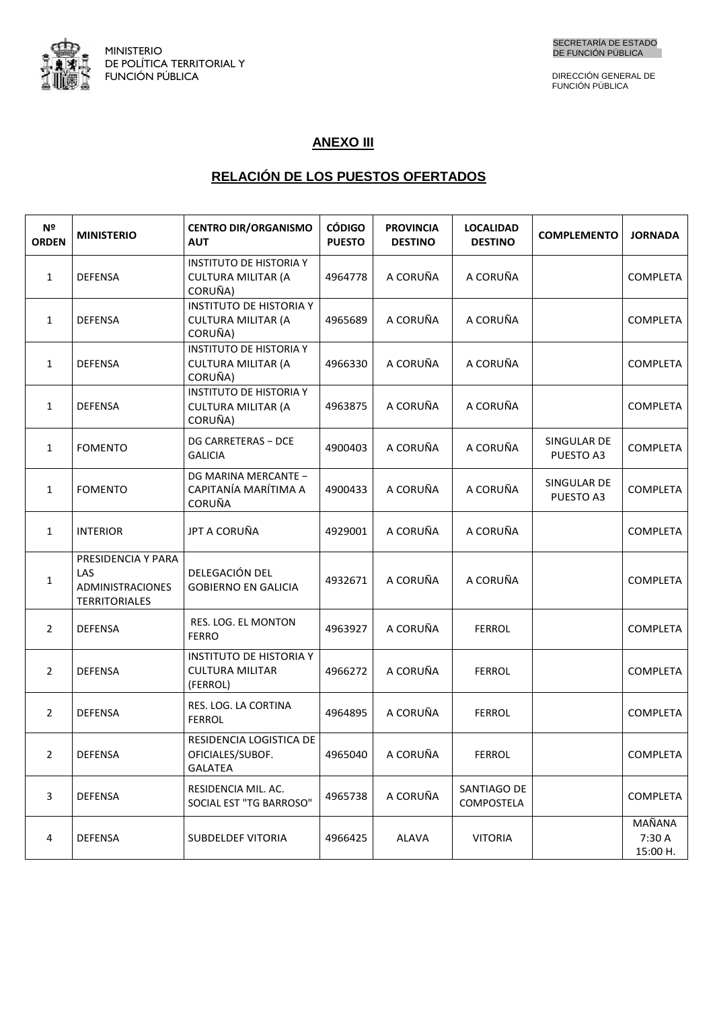

DIRECCIÓN GENERAL DE FUNCIÓN PÚBLICA

## **ANEXO III**

## <u>RELACION DE LOS PUESTOS OFERTADOS</u>

| N <sup>2</sup><br><b>ORDEN</b> | <b>MINISTERIO</b>                                                     | <b>CENTRO DIR/ORGANISMO</b><br><b>AUT</b>                              | <b>CÓDIGO</b><br><b>PUESTO</b> | <b>PROVINCIA</b><br><b>DESTINO</b> | <b>LOCALIDAD</b><br><b>DESTINO</b> | <b>COMPLEMENTO</b>       | <b>JORNADA</b>               |
|--------------------------------|-----------------------------------------------------------------------|------------------------------------------------------------------------|--------------------------------|------------------------------------|------------------------------------|--------------------------|------------------------------|
| $\mathbf{1}$                   | <b>DEFENSA</b>                                                        | <b>INSTITUTO DE HISTORIA Y</b><br><b>CULTURA MILITAR (A</b><br>CORUÑA) | 4964778                        | A CORUÑA                           | A CORUÑA                           |                          | <b>COMPLETA</b>              |
| $\mathbf{1}$                   | <b>DEFENSA</b>                                                        | <b>INSTITUTO DE HISTORIA Y</b><br><b>CULTURA MILITAR (A</b><br>CORUÑA) | 4965689                        | A CORUÑA                           | A CORUÑA                           |                          | COMPLETA                     |
| $\mathbf{1}$                   | <b>DEFENSA</b>                                                        | <b>INSTITUTO DE HISTORIA Y</b><br><b>CULTURA MILITAR (A</b><br>CORUÑA) | 4966330                        | A CORUÑA                           | A CORUÑA                           |                          | <b>COMPLETA</b>              |
| $\mathbf{1}$                   | <b>DEFENSA</b>                                                        | <b>INSTITUTO DE HISTORIA Y</b><br><b>CULTURA MILITAR (A</b><br>CORUÑA) | 4963875                        | A CORUÑA                           | A CORUÑA                           |                          | <b>COMPLETA</b>              |
| $\mathbf{1}$                   | <b>FOMENTO</b>                                                        | DG CARRETERAS - DCE<br><b>GALICIA</b>                                  | 4900403                        | A CORUÑA                           | A CORUÑA                           | SINGULAR DE<br>PUESTO A3 | <b>COMPLETA</b>              |
| $\mathbf{1}$                   | <b>FOMENTO</b>                                                        | DG MARINA MERCANTE -<br>CAPITANÍA MARÍTIMA A<br><b>CORUÑA</b>          | 4900433                        | A CORUÑA                           | A CORUÑA                           | SINGULAR DE<br>PUESTO A3 | <b>COMPLETA</b>              |
| $\mathbf{1}$                   | <b>INTERIOR</b>                                                       | JPT A CORUÑA                                                           | 4929001                        | A CORUÑA                           | A CORUÑA                           |                          | COMPLETA                     |
| $\mathbf{1}$                   | PRESIDENCIA Y PARA<br>LAS<br>ADMINISTRACIONES<br><b>TERRITORIALES</b> | DELEGACIÓN DEL<br><b>GOBIERNO EN GALICIA</b>                           | 4932671                        | A CORUÑA                           | A CORUÑA                           |                          | <b>COMPLETA</b>              |
| $\overline{2}$                 | <b>DEFENSA</b>                                                        | RES. LOG. EL MONTON<br><b>FERRO</b>                                    | 4963927                        | A CORUÑA                           | <b>FERROL</b>                      |                          | <b>COMPLETA</b>              |
| $\overline{2}$                 | <b>DEFENSA</b>                                                        | <b>INSTITUTO DE HISTORIA Y</b><br><b>CULTURA MILITAR</b><br>(FERROL)   | 4966272                        | A CORUÑA                           | <b>FERROL</b>                      |                          | <b>COMPLETA</b>              |
| $\overline{2}$                 | <b>DEFENSA</b>                                                        | RES. LOG. LA CORTINA<br><b>FERROL</b>                                  | 4964895                        | A CORUÑA                           | <b>FERROL</b>                      |                          | <b>COMPLETA</b>              |
| 2                              | DEFENSA                                                               | RESIDENCIA LOGISTICA DE<br>OFICIALES/SUBOF.<br><b>GALATEA</b>          | 4965040                        | A CORUÑA                           | <b>FERROL</b>                      |                          | COMPLETA                     |
| 3                              | DEFENSA                                                               | RESIDENCIA MIL. AC.<br>SOCIAL EST "TG BARROSO"                         | 4965738                        | A CORUÑA                           | SANTIAGO DE<br>COMPOSTELA          |                          | <b>COMPLETA</b>              |
| 4                              | DEFENSA                                                               | <b>SUBDELDEF VITORIA</b>                                               | 4966425                        | ALAVA                              | <b>VITORIA</b>                     |                          | MAÑANA<br>7:30 A<br>15:00 H. |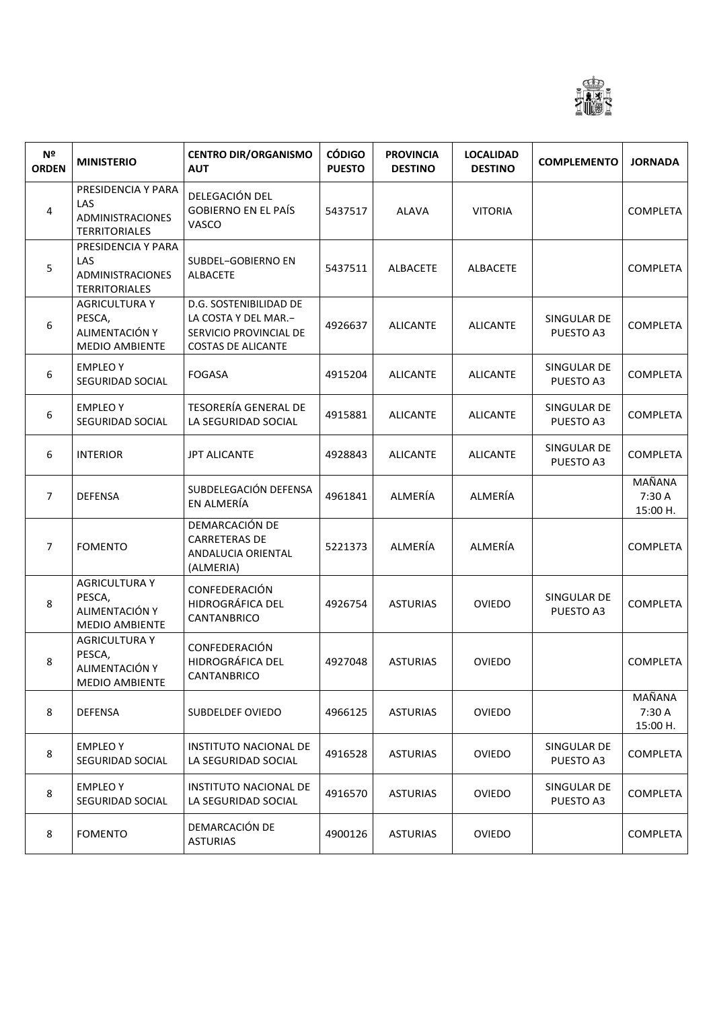

| N <sup>o</sup><br><b>ORDEN</b> | <b>MINISTERIO</b>                                                         | <b>CENTRO DIR/ORGANISMO</b><br><b>AUT</b>                                                             | <b>CÓDIGO</b><br><b>PUESTO</b> | <b>PROVINCIA</b><br><b>DESTINO</b> | <b>LOCALIDAD</b><br><b>DESTINO</b> | <b>COMPLEMENTO</b>       | <b>JORNADA</b>               |
|--------------------------------|---------------------------------------------------------------------------|-------------------------------------------------------------------------------------------------------|--------------------------------|------------------------------------|------------------------------------|--------------------------|------------------------------|
| 4                              | PRESIDENCIA Y PARA<br>LAS<br>ADMINISTRACIONES<br><b>TERRITORIALES</b>     | DELEGACIÓN DEL<br><b>GOBIERNO EN EL PAÍS</b><br>VASCO                                                 | 5437517                        | <b>ALAVA</b>                       | <b>VITORIA</b>                     |                          | <b>COMPLETA</b>              |
| 5                              | PRESIDENCIA Y PARA<br>LAS<br>ADMINISTRACIONES<br><b>TERRITORIALES</b>     | SUBDEL-GOBIERNO EN<br>ALBACETE                                                                        | 5437511                        | ALBACETE                           | ALBACETE                           |                          | <b>COMPLETA</b>              |
| 6                              | <b>AGRICULTURA Y</b><br>PESCA,<br>ALIMENTACIÓN Y<br><b>MEDIO AMBIENTE</b> | D.G. SOSTENIBILIDAD DE<br>LA COSTA Y DEL MAR.-<br>SERVICIO PROVINCIAL DE<br><b>COSTAS DE ALICANTE</b> | 4926637                        | <b>ALICANTE</b>                    | <b>ALICANTE</b>                    | SINGULAR DE<br>PUESTO A3 | <b>COMPLETA</b>              |
| 6                              | <b>EMPLEOY</b><br>SEGURIDAD SOCIAL                                        | <b>FOGASA</b>                                                                                         | 4915204                        | <b>ALICANTE</b>                    | <b>ALICANTE</b>                    | SINGULAR DE<br>PUESTO A3 | <b>COMPLETA</b>              |
| 6                              | <b>EMPLEOY</b><br>SEGURIDAD SOCIAL                                        | <b>TESORERÍA GENERAL DE</b><br>LA SEGURIDAD SOCIAL                                                    | 4915881                        | <b>ALICANTE</b>                    | <b>ALICANTE</b>                    | SINGULAR DE<br>PUESTO A3 | <b>COMPLETA</b>              |
| 6                              | <b>INTERIOR</b>                                                           | <b>JPT ALICANTE</b>                                                                                   | 4928843                        | <b>ALICANTE</b>                    | <b>ALICANTE</b>                    | SINGULAR DE<br>PUESTO A3 | <b>COMPLETA</b>              |
| $\overline{7}$                 | <b>DEFENSA</b>                                                            | SUBDELEGACIÓN DEFENSA<br>EN ALMERÍA                                                                   | 4961841                        | ALMERÍA                            | ALMERÍA                            |                          | MAÑANA<br>7:30 A<br>15:00 H. |
| $\overline{7}$                 | <b>FOMENTO</b>                                                            | DEMARCACIÓN DE<br><b>CARRETERAS DE</b><br>ANDALUCIA ORIENTAL<br>(ALMERIA)                             | 5221373                        | ALMERÍA                            | ALMERÍA                            |                          | <b>COMPLETA</b>              |
| 8                              | <b>AGRICULTURA Y</b><br>PESCA,<br>ALIMENTACIÓN Y<br><b>MEDIO AMBIENTE</b> | CONFEDERACIÓN<br>HIDROGRÁFICA DEL<br>CANTANBRICO                                                      | 4926754                        | <b>ASTURIAS</b>                    | <b>OVIEDO</b>                      | SINGULAR DE<br>PUESTO A3 | <b>COMPLETA</b>              |
| 8                              | <b>AGRICULTURA Y</b><br>PESCA,<br>ALIMENTACIÓN Y<br><b>MEDIO AMBIENTE</b> | CONFEDERACIÓN<br>HIDROGRÁFICA DEL<br>CANTANBRICO                                                      | 4927048                        | <b>ASTURIAS</b>                    | <b>OVIEDO</b>                      |                          | <b>COMPLETA</b>              |
| 8                              | <b>DEFENSA</b>                                                            | SUBDELDEF OVIEDO                                                                                      | 4966125                        | <b>ASTURIAS</b>                    | OVIEDO                             |                          | MAÑANA<br>7:30 A<br>15:00 H. |
| 8                              | <b>EMPLEO Y</b><br>SEGURIDAD SOCIAL                                       | <b>INSTITUTO NACIONAL DE</b><br>LA SEGURIDAD SOCIAL                                                   | 4916528                        | <b>ASTURIAS</b>                    | <b>OVIEDO</b>                      | SINGULAR DE<br>PUESTO A3 | <b>COMPLETA</b>              |
| 8                              | <b>EMPLEOY</b><br>SEGURIDAD SOCIAL                                        | <b>INSTITUTO NACIONAL DE</b><br>LA SEGURIDAD SOCIAL                                                   | 4916570                        | <b>ASTURIAS</b>                    | OVIEDO                             | SINGULAR DE<br>PUESTO A3 | <b>COMPLETA</b>              |
| 8                              | <b>FOMENTO</b>                                                            | DEMARCACIÓN DE<br><b>ASTURIAS</b>                                                                     | 4900126                        | <b>ASTURIAS</b>                    | OVIEDO                             |                          | <b>COMPLETA</b>              |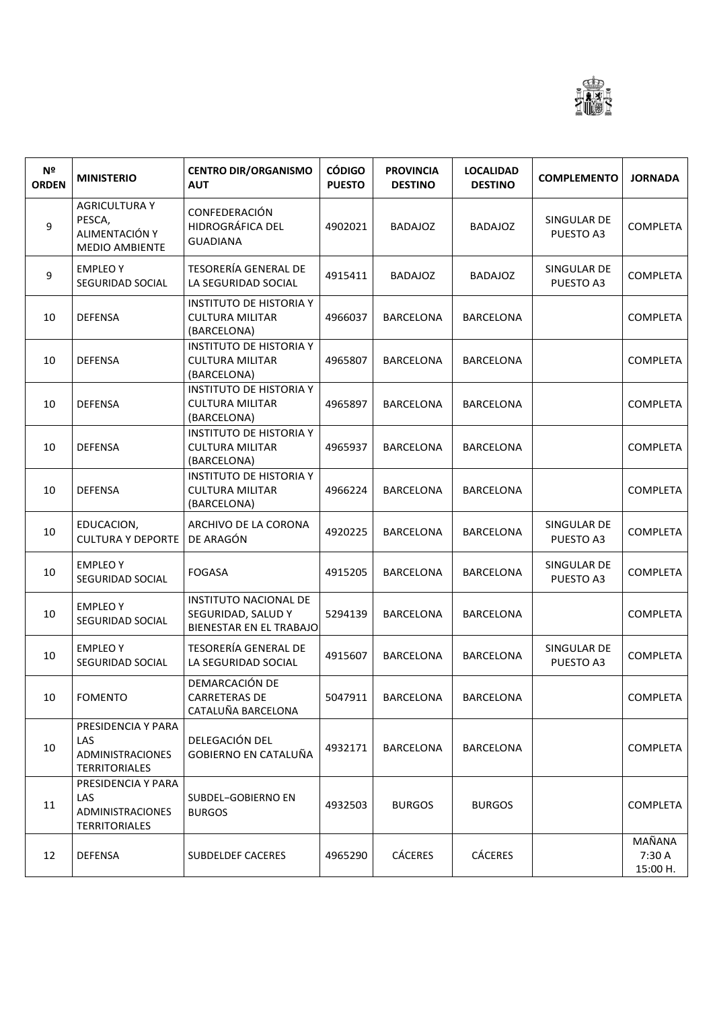

| N <sup>2</sup><br><b>ORDEN</b> | <b>MINISTERIO</b>                                                            | <b>CENTRO DIR/ORGANISMO</b><br><b>AUT</b>                                     | <b>CÓDIGO</b><br><b>PUESTO</b> | <b>PROVINCIA</b><br><b>DESTINO</b> | <b>LOCALIDAD</b><br><b>DESTINO</b> | <b>COMPLEMENTO</b>       | <b>JORNADA</b>               |
|--------------------------------|------------------------------------------------------------------------------|-------------------------------------------------------------------------------|--------------------------------|------------------------------------|------------------------------------|--------------------------|------------------------------|
| 9                              | <b>AGRICULTURA Y</b><br>PESCA,<br>ALIMENTACIÓN Y<br><b>MEDIO AMBIENTE</b>    | CONFEDERACIÓN<br>HIDROGRÁFICA DEL<br><b>GUADIANA</b>                          | 4902021                        | <b>BADAJOZ</b>                     | <b>BADAJOZ</b>                     | SINGULAR DE<br>PUESTO A3 | <b>COMPLETA</b>              |
| 9                              | <b>EMPLEOY</b><br>SEGURIDAD SOCIAL                                           | <b>TESORERÍA GENERAL DE</b><br>LA SEGURIDAD SOCIAL                            | 4915411                        | <b>BADAJOZ</b>                     | <b>BADAJOZ</b>                     | SINGULAR DE<br>PUESTO A3 | <b>COMPLETA</b>              |
| 10                             | <b>DEFENSA</b>                                                               | <b>INSTITUTO DE HISTORIA Y</b><br><b>CULTURA MILITAR</b><br>(BARCELONA)       | 4966037                        | <b>BARCELONA</b>                   | <b>BARCELONA</b>                   |                          | <b>COMPLETA</b>              |
| 10                             | <b>DEFENSA</b>                                                               | <b>INSTITUTO DE HISTORIA Y</b><br><b>CULTURA MILITAR</b><br>(BARCELONA)       | 4965807                        | <b>BARCELONA</b>                   | <b>BARCELONA</b>                   |                          | <b>COMPLETA</b>              |
| 10                             | <b>DEFENSA</b>                                                               | <b>INSTITUTO DE HISTORIA Y</b><br><b>CULTURA MILITAR</b><br>(BARCELONA)       | 4965897                        | <b>BARCELONA</b>                   | <b>BARCELONA</b>                   |                          | <b>COMPLETA</b>              |
| 10                             | <b>DEFENSA</b>                                                               | <b>INSTITUTO DE HISTORIA Y</b><br><b>CULTURA MILITAR</b><br>(BARCELONA)       | 4965937                        | <b>BARCELONA</b>                   | <b>BARCELONA</b>                   |                          | <b>COMPLETA</b>              |
| 10                             | <b>DEFENSA</b>                                                               | <b>INSTITUTO DE HISTORIA Y</b><br><b>CULTURA MILITAR</b><br>(BARCELONA)       | 4966224                        | <b>BARCELONA</b>                   | <b>BARCELONA</b>                   |                          | <b>COMPLETA</b>              |
| 10                             | EDUCACION,<br><b>CULTURA Y DEPORTE</b>                                       | ARCHIVO DE LA CORONA<br>DE ARAGÓN                                             | 4920225                        | <b>BARCELONA</b>                   | <b>BARCELONA</b>                   | SINGULAR DE<br>PUESTO A3 | <b>COMPLETA</b>              |
| 10                             | <b>EMPLEOY</b><br>SEGURIDAD SOCIAL                                           | <b>FOGASA</b>                                                                 | 4915205                        | <b>BARCELONA</b>                   | <b>BARCELONA</b>                   | SINGULAR DE<br>PUESTO A3 | <b>COMPLETA</b>              |
| 10                             | <b>EMPLEOY</b><br>SEGURIDAD SOCIAL                                           | INSTITUTO NACIONAL DE<br>SEGURIDAD, SALUD Y<br><b>BIENESTAR EN EL TRABAJO</b> | 5294139                        | <b>BARCELONA</b>                   | <b>BARCELONA</b>                   |                          | <b>COMPLETA</b>              |
| 10                             | <b>EMPLEOY</b><br>SEGURIDAD SOCIAL                                           | <b>TESORERÍA GENERAL DE</b><br>LA SEGURIDAD SOCIAL                            | 4915607                        | <b>BARCELONA</b>                   | <b>BARCELONA</b>                   | SINGULAR DE<br>PUESTO A3 | <b>COMPLETA</b>              |
| 10                             | <b>FOMENTO</b>                                                               | DEMARCACIÓN DE<br>CARRETERAS DE<br>CATALUÑA BARCELONA                         | 5047911                        | BARCELONA                          | BARCELONA                          |                          | COMPLETA                     |
| 10                             | PRESIDENCIA Y PARA<br>LAS<br><b>ADMINISTRACIONES</b><br><b>TERRITORIALES</b> | DELEGACIÓN DEL<br>GOBIERNO EN CATALUÑA                                        | 4932171                        | BARCELONA                          | <b>BARCELONA</b>                   |                          | <b>COMPLETA</b>              |
| 11                             | PRESIDENCIA Y PARA<br>LAS<br><b>ADMINISTRACIONES</b><br><b>TERRITORIALES</b> | SUBDEL-GOBIERNO EN<br><b>BURGOS</b>                                           | 4932503                        | <b>BURGOS</b>                      | <b>BURGOS</b>                      |                          | <b>COMPLETA</b>              |
| 12                             | DEFENSA                                                                      | SUBDELDEF CACERES                                                             | 4965290                        | CÁCERES                            | <b>CÁCERES</b>                     |                          | MAÑANA<br>7:30 A<br>15:00 H. |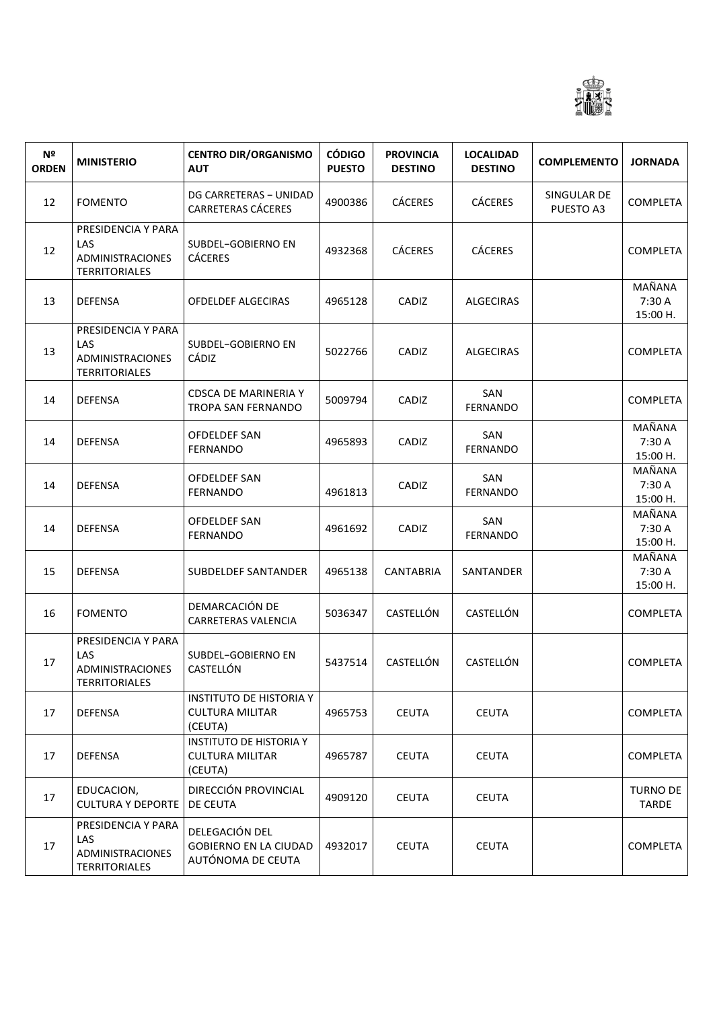

| Nº<br><b>ORDEN</b> | <b>MINISTERIO</b>                                                     | <b>CENTRO DIR/ORGANISMO</b><br><b>AUT</b>                           | <b>CÓDIGO</b><br><b>PUESTO</b> | <b>PROVINCIA</b><br><b>DESTINO</b> | <b>LOCALIDAD</b><br><b>DESTINO</b> | <b>COMPLEMENTO</b>       | <b>JORNADA</b>                      |
|--------------------|-----------------------------------------------------------------------|---------------------------------------------------------------------|--------------------------------|------------------------------------|------------------------------------|--------------------------|-------------------------------------|
| 12                 | <b>FOMENTO</b>                                                        | DG CARRETERAS - UNIDAD<br>CARRETERAS CÁCERES                        | 4900386                        | <b>CÁCERES</b>                     | <b>CÁCERES</b>                     | SINGULAR DE<br>PUESTO A3 | <b>COMPLETA</b>                     |
| 12                 | PRESIDENCIA Y PARA<br>LAS<br>ADMINISTRACIONES<br><b>TERRITORIALES</b> | SUBDEL-GOBIERNO EN<br><b>CÁCERES</b>                                | 4932368                        | <b>CÁCERES</b>                     | <b>CÁCERES</b>                     |                          | <b>COMPLETA</b>                     |
| 13                 | <b>DEFENSA</b>                                                        | <b>OFDELDEF ALGECIRAS</b>                                           | 4965128                        | CADIZ                              | <b>ALGECIRAS</b>                   |                          | <b>MAÑANA</b><br>7:30 A<br>15:00 H. |
| 13                 | PRESIDENCIA Y PARA<br>LAS<br>ADMINISTRACIONES<br><b>TERRITORIALES</b> | SUBDEL-GOBIERNO EN<br><b>CÁDIZ</b>                                  | 5022766                        | CADIZ                              | <b>ALGECIRAS</b>                   |                          | <b>COMPLETA</b>                     |
| 14                 | <b>DEFENSA</b>                                                        | <b>CDSCA DE MARINERIA Y</b><br><b>TROPA SAN FERNANDO</b>            | 5009794                        | CADIZ                              | SAN<br>FERNANDO                    |                          | <b>COMPLETA</b>                     |
| 14                 | <b>DEFENSA</b>                                                        | OFDELDEF SAN<br><b>FERNANDO</b>                                     | 4965893                        | CADIZ                              | SAN<br><b>FERNANDO</b>             |                          | MAÑANA<br>7:30 A<br>15:00 H.        |
| 14                 | <b>DEFENSA</b>                                                        | OFDELDEF SAN<br><b>FERNANDO</b>                                     | 4961813                        | CADIZ                              | SAN<br><b>FERNANDO</b>             |                          | MAÑANA<br>7:30 A<br>15:00 H.        |
| 14                 | <b>DEFENSA</b>                                                        | OFDELDEF SAN<br>FERNANDO                                            | 4961692                        | CADIZ                              | SAN<br>FERNANDO                    |                          | MAÑANA<br>7:30 A<br>15:00 H.        |
| 15                 | <b>DEFENSA</b>                                                        | SUBDELDEF SANTANDER                                                 | 4965138                        | <b>CANTABRIA</b>                   | SANTANDER                          |                          | MAÑANA<br>7:30 A<br>15:00 H.        |
| 16                 | <b>FOMENTO</b>                                                        | DEMARCACIÓN DE<br>CARRETERAS VALENCIA                               | 5036347                        | CASTELLÓN                          | CASTELLÓN                          |                          | <b>COMPLETA</b>                     |
| 17                 | PRESIDENCIA Y PARA<br>LAS<br>ADMINISTRACIONES<br><b>TERRITORIALES</b> | SUBDEL-GOBIERNO EN<br>CASTELLÓN                                     | 5437514                        | CASTELLÓN                          | CASTELLÓN                          |                          | <b>COMPLETA</b>                     |
| 17                 | <b>DEFENSA</b>                                                        | <b>INSTITUTO DE HISTORIA Y</b><br><b>CULTURA MILITAR</b><br>(CEUTA) | 4965753                        | <b>CEUTA</b>                       | <b>CEUTA</b>                       |                          | <b>COMPLETA</b>                     |
| 17                 | <b>DEFENSA</b>                                                        | <b>INSTITUTO DE HISTORIA Y</b><br><b>CULTURA MILITAR</b><br>(CEUTA) | 4965787                        | <b>CEUTA</b>                       | <b>CEUTA</b>                       |                          | <b>COMPLETA</b>                     |
| 17                 | EDUCACION,<br><b>CULTURA Y DEPORTE</b>                                | DIRECCIÓN PROVINCIAL<br>DE CEUTA                                    | 4909120                        | <b>CEUTA</b>                       | <b>CEUTA</b>                       |                          | <b>TURNO DE</b><br>TARDE            |
| 17                 | PRESIDENCIA Y PARA<br>LAS<br>ADMINISTRACIONES<br><b>TERRITORIALES</b> | DELEGACIÓN DEL<br><b>GOBIERNO EN LA CIUDAD</b><br>AUTÓNOMA DE CEUTA | 4932017                        | <b>CEUTA</b>                       | <b>CEUTA</b>                       |                          | <b>COMPLETA</b>                     |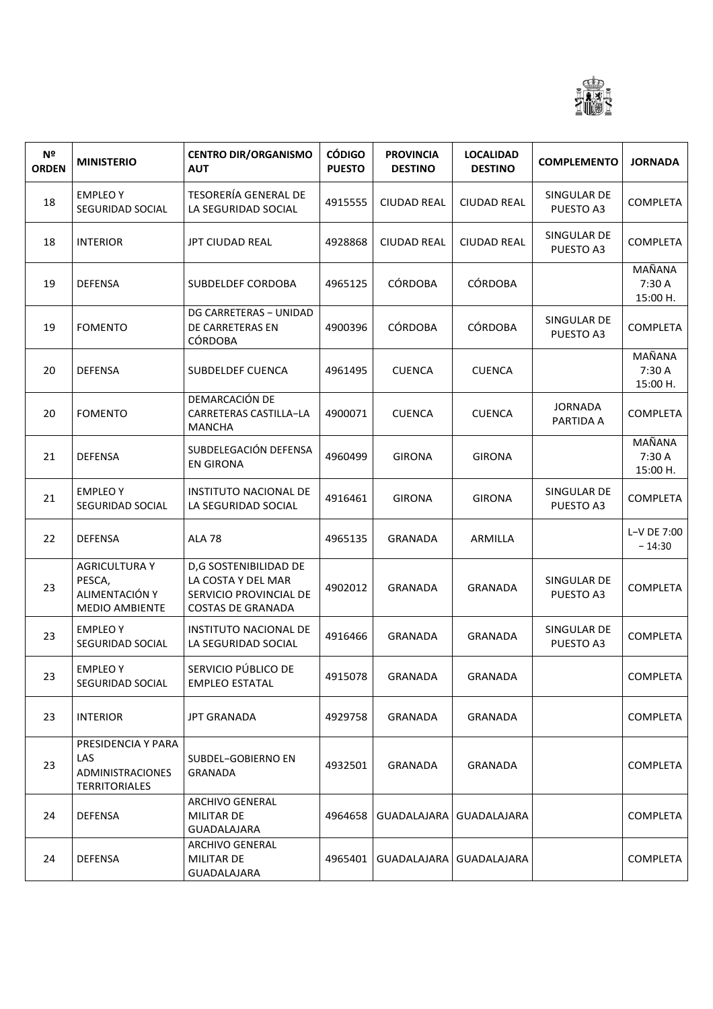

| N <sup>o</sup><br><b>ORDEN</b> | <b>MINISTERIO</b>                                                            | <b>CENTRO DIR/ORGANISMO</b><br><b>AUT</b>                                                         | <b>CÓDIGO</b><br><b>PUESTO</b> | <b>PROVINCIA</b><br><b>DESTINO</b> | <b>LOCALIDAD</b><br><b>DESTINO</b> | <b>COMPLEMENTO</b>          | <b>JORNADA</b>               |
|--------------------------------|------------------------------------------------------------------------------|---------------------------------------------------------------------------------------------------|--------------------------------|------------------------------------|------------------------------------|-----------------------------|------------------------------|
| 18                             | <b>EMPLEOY</b><br>SEGURIDAD SOCIAL                                           | <b>TESORERÍA GENERAL DE</b><br>LA SEGURIDAD SOCIAL                                                | 4915555                        | <b>CIUDAD REAL</b>                 | <b>CIUDAD REAL</b>                 | SINGULAR DE<br>PUESTO A3    | COMPLETA                     |
| 18                             | <b>INTERIOR</b>                                                              | JPT CIUDAD REAL                                                                                   | 4928868                        | <b>CIUDAD REAL</b>                 | <b>CIUDAD REAL</b>                 | SINGULAR DE<br>PUESTO A3    | <b>COMPLETA</b>              |
| 19                             | <b>DEFENSA</b>                                                               | SUBDELDEF CORDOBA                                                                                 | 4965125                        | <b>CÓRDOBA</b>                     | <b>CÓRDOBA</b>                     |                             | MAÑANA<br>7:30 A<br>15:00 H. |
| 19                             | <b>FOMENTO</b>                                                               | DG CARRETERAS - UNIDAD<br>DE CARRETERAS EN<br><b>CÓRDOBA</b>                                      | 4900396                        | <b>CÓRDOBA</b>                     | <b>CÓRDOBA</b>                     | SINGULAR DE<br>PUESTO A3    | <b>COMPLETA</b>              |
| 20                             | <b>DEFENSA</b>                                                               | <b>SUBDELDEF CUENCA</b>                                                                           | 4961495                        | <b>CUENCA</b>                      | <b>CUENCA</b>                      |                             | MAÑANA<br>7:30 A<br>15:00 H. |
| 20                             | <b>FOMENTO</b>                                                               | DEMARCACIÓN DE<br>CARRETERAS CASTILLA-LA<br><b>MANCHA</b>                                         | 4900071                        | <b>CUENCA</b>                      | <b>CUENCA</b>                      | <b>JORNADA</b><br>PARTIDA A | COMPLETA                     |
| 21                             | <b>DEFENSA</b>                                                               | SUBDELEGACIÓN DEFENSA<br><b>EN GIRONA</b>                                                         | 4960499                        | <b>GIRONA</b>                      | <b>GIRONA</b>                      |                             | MAÑANA<br>7:30 A<br>15:00 H. |
| 21                             | <b>EMPLEOY</b><br>SEGURIDAD SOCIAL                                           | INSTITUTO NACIONAL DE<br>LA SEGURIDAD SOCIAL                                                      | 4916461                        | <b>GIRONA</b>                      | <b>GIRONA</b>                      | SINGULAR DE<br>PUESTO A3    | <b>COMPLETA</b>              |
| 22                             | <b>DEFENSA</b>                                                               | <b>ALA 78</b>                                                                                     | 4965135                        | <b>GRANADA</b>                     | ARMILLA                            |                             | L-V DE 7:00<br>$-14:30$      |
| 23                             | <b>AGRICULTURA Y</b><br>PESCA,<br>ALIMENTACIÓN Y<br><b>MEDIO AMBIENTE</b>    | D,G SOSTENIBILIDAD DE<br>LA COSTA Y DEL MAR<br>SERVICIO PROVINCIAL DE<br><b>COSTAS DE GRANADA</b> | 4902012                        | <b>GRANADA</b>                     | <b>GRANADA</b>                     | SINGULAR DE<br>PUESTO A3    | COMPLETA                     |
| 23                             | <b>EMPLEO Y</b><br>SEGURIDAD SOCIAL                                          | <b>INSTITUTO NACIONAL DE</b><br>LA SEGURIDAD SOCIAL                                               | 4916466                        | <b>GRANADA</b>                     | <b>GRANADA</b>                     | SINGULAR DE<br>PUESTO A3    | <b>COMPLETA</b>              |
| 23                             | <b>EMPLEO Y</b><br>SEGURIDAD SOCIAL                                          | SERVICIO PÚBLICO DE<br><b>EMPLEO ESTATAL</b>                                                      | 4915078                        | <b>GRANADA</b>                     | <b>GRANADA</b>                     |                             | COMPLETA                     |
| 23                             | <b>INTERIOR</b>                                                              | <b>JPT GRANADA</b>                                                                                | 4929758                        | <b>GRANADA</b>                     | <b>GRANADA</b>                     |                             | COMPLETA                     |
| 23                             | PRESIDENCIA Y PARA<br><b>LAS</b><br>ADMINISTRACIONES<br><b>TERRITORIALES</b> | SUBDEL-GOBIERNO EN<br><b>GRANADA</b>                                                              | 4932501                        | <b>GRANADA</b>                     | <b>GRANADA</b>                     |                             | <b>COMPLETA</b>              |
| 24                             | <b>DEFENSA</b>                                                               | ARCHIVO GENERAL<br>MILITAR DE<br>GUADALAJARA                                                      | 4964658                        | <b>GUADALAJARA</b>                 | <b>GUADALAJARA</b>                 |                             | <b>COMPLETA</b>              |
| 24                             | <b>DEFENSA</b>                                                               | <b>ARCHIVO GENERAL</b><br><b>MILITAR DE</b><br>GUADALAJARA                                        | 4965401                        | GUADALAJARA                        | GUADALAJARA                        |                             | <b>COMPLETA</b>              |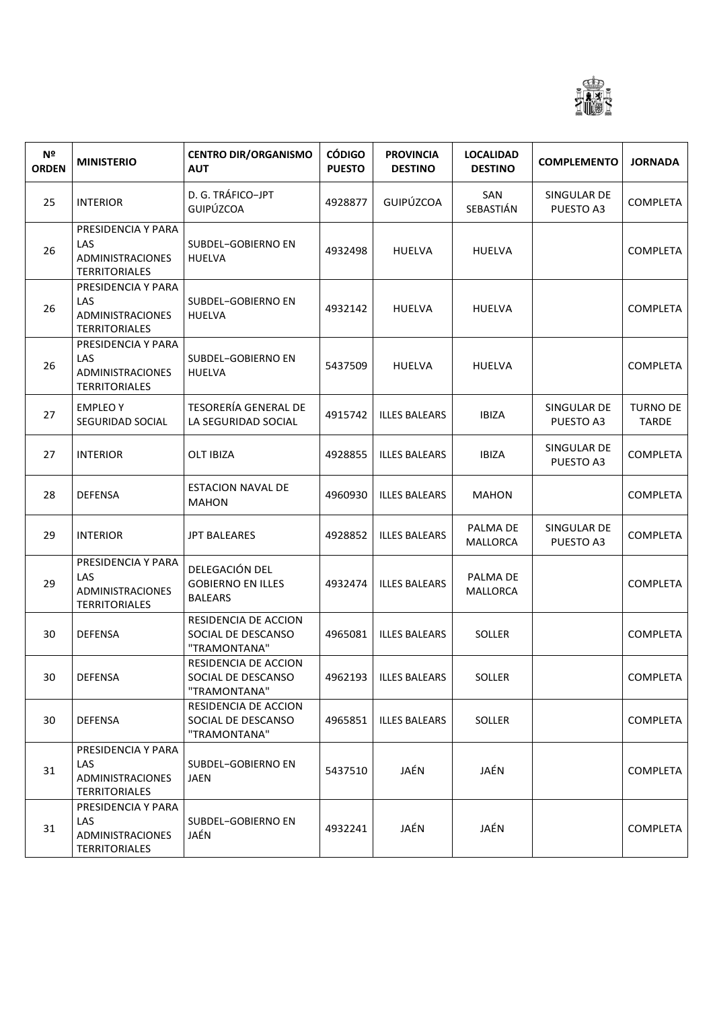

| Nº<br><b>ORDEN</b> | <b>MINISTERIO</b>                                                            | <b>CENTRO DIR/ORGANISMO</b><br><b>AUT</b>                    | <b>CÓDIGO</b><br><b>PUESTO</b> | <b>PROVINCIA</b><br><b>DESTINO</b> | <b>LOCALIDAD</b><br><b>DESTINO</b> | <b>COMPLEMENTO</b>       | <b>JORNADA</b>                  |
|--------------------|------------------------------------------------------------------------------|--------------------------------------------------------------|--------------------------------|------------------------------------|------------------------------------|--------------------------|---------------------------------|
| 25                 | <b>INTERIOR</b>                                                              | D. G. TRÁFICO-JPT<br>GUIPÚZCOA                               | 4928877                        | <b>GUIPÚZCOA</b>                   | SAN<br>SEBASTIÁN                   | SINGULAR DE<br>PUESTO A3 | <b>COMPLETA</b>                 |
| 26                 | PRESIDENCIA Y PARA<br><b>LAS</b><br>ADMINISTRACIONES<br><b>TERRITORIALES</b> | SUBDEL-GOBIERNO EN<br><b>HUELVA</b>                          | 4932498                        | <b>HUELVA</b>                      | <b>HUELVA</b>                      |                          | COMPLETA                        |
| 26                 | PRESIDENCIA Y PARA<br><b>LAS</b><br>ADMINISTRACIONES<br><b>TERRITORIALES</b> | SUBDEL-GOBIERNO EN<br><b>HUELVA</b>                          | 4932142                        | <b>HUELVA</b>                      | <b>HUELVA</b>                      |                          | <b>COMPLETA</b>                 |
| 26                 | PRESIDENCIA Y PARA<br><b>LAS</b><br>ADMINISTRACIONES<br><b>TERRITORIALES</b> | SUBDEL-GOBIERNO EN<br><b>HUELVA</b>                          | 5437509                        | <b>HUELVA</b>                      | <b>HUELVA</b>                      |                          | <b>COMPLETA</b>                 |
| 27                 | <b>EMPLEOY</b><br>SEGURIDAD SOCIAL                                           | <b>TESORERÍA GENERAL DE</b><br>LA SEGURIDAD SOCIAL           | 4915742                        | <b>ILLES BALEARS</b>               | <b>IBIZA</b>                       | SINGULAR DE<br>PUESTO A3 | <b>TURNO DE</b><br><b>TARDE</b> |
| 27                 | <b>INTERIOR</b>                                                              | <b>OLT IBIZA</b>                                             | 4928855                        | <b>ILLES BALEARS</b>               | <b>IBIZA</b>                       | SINGULAR DE<br>PUESTO A3 | <b>COMPLETA</b>                 |
| 28                 | <b>DEFENSA</b>                                                               | <b>ESTACION NAVAL DE</b><br><b>MAHON</b>                     | 4960930                        | <b>ILLES BALEARS</b>               | MAHON                              |                          | <b>COMPLETA</b>                 |
| 29                 | <b>INTERIOR</b>                                                              | <b>JPT BALEARES</b>                                          | 4928852                        | <b>ILLES BALEARS</b>               | PALMA DE<br>MALLORCA               | SINGULAR DE<br>PUESTO A3 | <b>COMPLETA</b>                 |
| 29                 | PRESIDENCIA Y PARA<br>LAS<br>ADMINISTRACIONES<br><b>TERRITORIALES</b>        | DELEGACIÓN DEL<br><b>GOBIERNO EN ILLES</b><br><b>BALEARS</b> | 4932474                        | <b>ILLES BALEARS</b>               | PALMA DE<br><b>MALLORCA</b>        |                          | <b>COMPLETA</b>                 |
| 30                 | <b>DEFENSA</b>                                                               | RESIDENCIA DE ACCION<br>SOCIAL DE DESCANSO<br>"TRAMONTANA"   | 4965081                        | <b>ILLES BALEARS</b>               | <b>SOLLER</b>                      |                          | <b>COMPLETA</b>                 |
| 30                 | <b>DEFENSA</b>                                                               | RESIDENCIA DE ACCION<br>SOCIAL DE DESCANSO<br>"TRAMONTANA"   |                                | 4962193   ILLES BALEARS            | SOLLER                             |                          | <b>COMPLETA</b>                 |
| 30                 | <b>DEFENSA</b>                                                               | RESIDENCIA DE ACCION<br>SOCIAL DE DESCANSO<br>"TRAMONTANA"   | 4965851                        | <b>ILLES BALEARS</b>               | <b>SOLLER</b>                      |                          | <b>COMPLETA</b>                 |
| 31                 | PRESIDENCIA Y PARA<br>LAS<br>ADMINISTRACIONES<br><b>TERRITORIALES</b>        | SUBDEL-GOBIERNO EN<br>JAEN                                   | 5437510                        | JAÉN                               | JAÉN                               |                          | <b>COMPLETA</b>                 |
| 31                 | PRESIDENCIA Y PARA<br>LAS<br>ADMINISTRACIONES<br><b>TERRITORIALES</b>        | SUBDEL-GOBIERNO EN<br>JAÉN                                   | 4932241                        | JAÉN                               | JAÉN                               |                          | <b>COMPLETA</b>                 |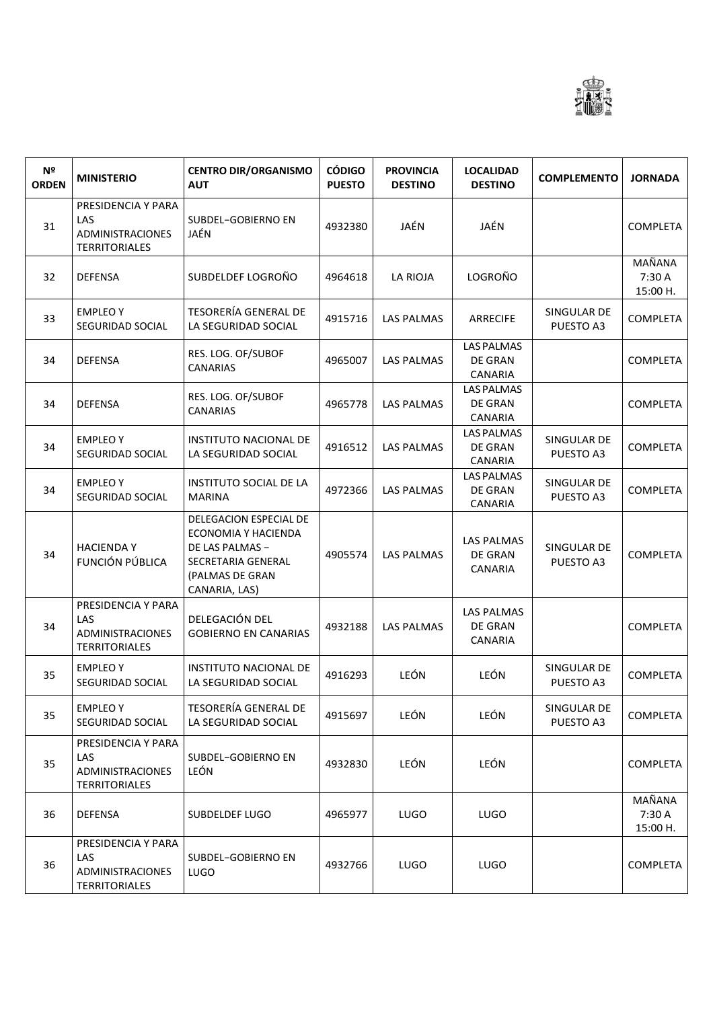

| N <sup>o</sup><br><b>ORDEN</b> | <b>MINISTERIO</b>                                                            | <b>CENTRO DIR/ORGANISMO</b><br><b>AUT</b>                                                                                  | <b>CÓDIGO</b><br><b>PUESTO</b> | <b>PROVINCIA</b><br><b>DESTINO</b> | <b>LOCALIDAD</b><br><b>DESTINO</b>                    | <b>COMPLEMENTO</b>       | <b>JORNADA</b>               |
|--------------------------------|------------------------------------------------------------------------------|----------------------------------------------------------------------------------------------------------------------------|--------------------------------|------------------------------------|-------------------------------------------------------|--------------------------|------------------------------|
| 31                             | PRESIDENCIA Y PARA<br>LAS<br><b>ADMINISTRACIONES</b><br><b>TERRITORIALES</b> | SUBDEL-GOBIERNO EN<br>JAÉN                                                                                                 | 4932380                        | JAÉN                               | JAÉN                                                  |                          | <b>COMPLETA</b>              |
| 32                             | <b>DEFENSA</b>                                                               | SUBDELDEF LOGROÑO                                                                                                          | 4964618                        | LA RIOJA                           | <b>LOGROÑO</b>                                        |                          | MAÑANA<br>7:30 A<br>15:00 H. |
| 33                             | <b>EMPLEOY</b><br>SEGURIDAD SOCIAL                                           | <b>TESORERÍA GENERAL DE</b><br>LA SEGURIDAD SOCIAL                                                                         | 4915716                        | <b>LAS PALMAS</b>                  | <b>ARRECIFE</b>                                       | SINGULAR DE<br>PUESTO A3 | <b>COMPLETA</b>              |
| 34                             | <b>DEFENSA</b>                                                               | RES. LOG. OF/SUBOF<br><b>CANARIAS</b>                                                                                      | 4965007                        | <b>LAS PALMAS</b>                  | <b>LAS PALMAS</b><br><b>DE GRAN</b><br>CANARIA        |                          | <b>COMPLETA</b>              |
| 34                             | <b>DEFENSA</b>                                                               | RES. LOG. OF/SUBOF<br><b>CANARIAS</b>                                                                                      | 4965778                        | <b>LAS PALMAS</b>                  | <b>LAS PALMAS</b><br><b>DE GRAN</b><br>CANARIA        |                          | <b>COMPLETA</b>              |
| 34                             | <b>EMPLEOY</b><br>SEGURIDAD SOCIAL                                           | <b>INSTITUTO NACIONAL DE</b><br>LA SEGURIDAD SOCIAL                                                                        | 4916512                        | <b>LAS PALMAS</b>                  | <b>LAS PALMAS</b><br>DE GRAN<br>CANARIA               | SINGULAR DE<br>PUESTO A3 | <b>COMPLETA</b>              |
| 34                             | <b>EMPLEO Y</b><br>SEGURIDAD SOCIAL                                          | <b>INSTITUTO SOCIAL DE LA</b><br><b>MARINA</b>                                                                             | 4972366                        | <b>LAS PALMAS</b>                  | <b>LAS PALMAS</b><br>DE GRAN<br>CANARIA               | SINGULAR DE<br>PUESTO A3 | <b>COMPLETA</b>              |
| 34                             | <b>HACIENDAY</b><br>FUNCIÓN PÚBLICA                                          | DELEGACION ESPECIAL DE<br>ECONOMIA Y HACIENDA<br>DE LAS PALMAS -<br>SECRETARIA GENERAL<br>(PALMAS DE GRAN<br>CANARIA, LAS) | 4905574                        | <b>LAS PALMAS</b>                  | <b>LAS PALMAS</b><br>DE GRAN<br>CANARIA               | SINGULAR DE<br>PUESTO A3 | <b>COMPLETA</b>              |
| 34                             | PRESIDENCIA Y PARA<br>LAS<br>ADMINISTRACIONES<br><b>TERRITORIALES</b>        | DELEGACIÓN DEL<br><b>GOBIERNO EN CANARIAS</b>                                                                              | 4932188                        | <b>LAS PALMAS</b>                  | <b>LAS PALMAS</b><br><b>DE GRAN</b><br><b>CANARIA</b> |                          | <b>COMPLETA</b>              |
| 35                             | <b>EMPLEO Y</b><br>SEGURIDAD SOCIAL                                          | <b>INSTITUTO NACIONAL DE</b><br>LA SEGURIDAD SOCIAL                                                                        | 4916293                        | LEÓN                               | LEÓN                                                  | SINGULAR DE<br>PUESTO A3 | <b>COMPLETA</b>              |
| 35                             | <b>EMPLEOY</b><br>SEGURIDAD SOCIAL                                           | TESORERÍA GENERAL DE<br>LA SEGURIDAD SOCIAL                                                                                | 4915697                        | LEÓN                               | LEÓN                                                  | SINGULAR DE<br>PUESTO A3 | <b>COMPLETA</b>              |
| 35                             | PRESIDENCIA Y PARA<br>LAS<br><b>ADMINISTRACIONES</b><br><b>TERRITORIALES</b> | SUBDEL-GOBIERNO EN<br>LEÓN                                                                                                 | 4932830                        | LEÓN                               | LEÓN                                                  |                          | <b>COMPLETA</b>              |
| 36                             | <b>DEFENSA</b>                                                               | SUBDELDEF LUGO                                                                                                             | 4965977                        | <b>LUGO</b>                        | <b>LUGO</b>                                           |                          | MAÑANA<br>7:30 A<br>15:00 H. |
| 36                             | PRESIDENCIA Y PARA<br>LAS<br><b>ADMINISTRACIONES</b><br><b>TERRITORIALES</b> | SUBDEL-GOBIERNO EN<br><b>LUGO</b>                                                                                          | 4932766                        | <b>LUGO</b>                        | <b>LUGO</b>                                           |                          | <b>COMPLETA</b>              |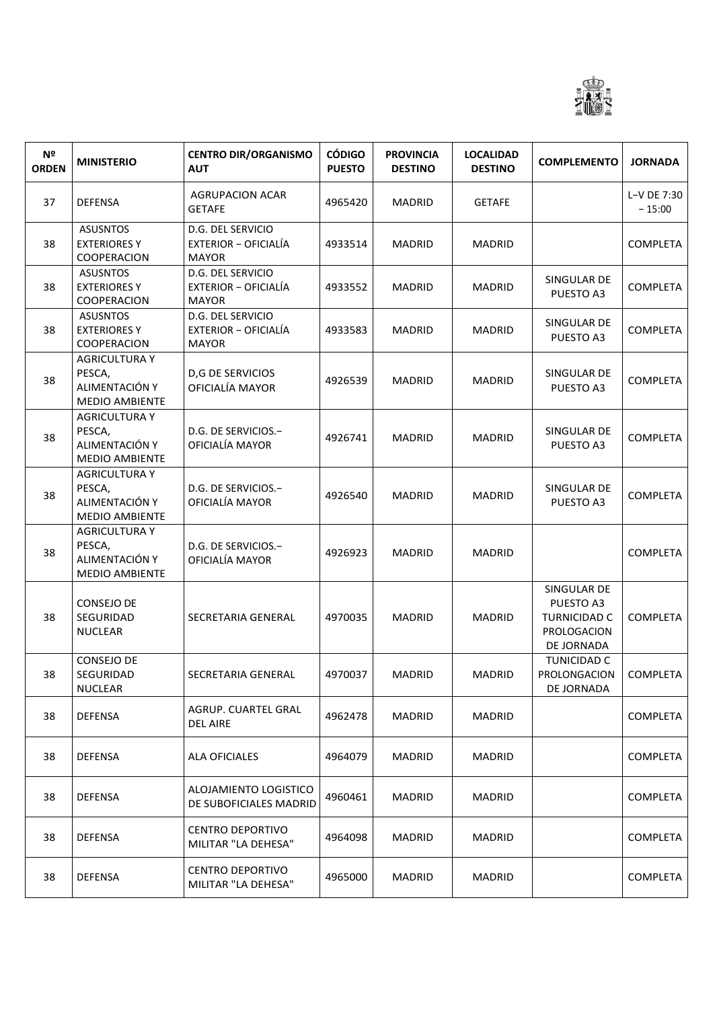

| N <sup>2</sup><br><b>ORDEN</b> | <b>MINISTERIO</b>                                                         | <b>CENTRO DIR/ORGANISMO</b><br><b>AUT</b>                 | <b>CÓDIGO</b><br><b>PUESTO</b> | <b>PROVINCIA</b><br><b>DESTINO</b> | <b>LOCALIDAD</b><br><b>DESTINO</b> | <b>COMPLEMENTO</b>                                                           | <b>JORNADA</b>          |
|--------------------------------|---------------------------------------------------------------------------|-----------------------------------------------------------|--------------------------------|------------------------------------|------------------------------------|------------------------------------------------------------------------------|-------------------------|
| 37                             | <b>DEFENSA</b>                                                            | <b>AGRUPACION ACAR</b><br>GETAFE                          | 4965420                        | <b>MADRID</b>                      | <b>GETAFE</b>                      |                                                                              | L-V DE 7:30<br>$-15:00$ |
| 38                             | <b>ASUSNTOS</b><br><b>EXTERIORES Y</b><br>COOPERACION                     | D.G. DEL SERVICIO<br>EXTERIOR - OFICIALÍA<br><b>MAYOR</b> | 4933514                        | MADRID                             | <b>MADRID</b>                      |                                                                              | <b>COMPLETA</b>         |
| 38                             | <b>ASUSNTOS</b><br><b>EXTERIORES Y</b><br>COOPERACION                     | D.G. DEL SERVICIO<br>EXTERIOR - OFICIALÍA<br><b>MAYOR</b> | 4933552                        | <b>MADRID</b>                      | <b>MADRID</b>                      | SINGULAR DE<br>PUESTO A3                                                     | <b>COMPLETA</b>         |
| 38                             | <b>ASUSNTOS</b><br><b>EXTERIORES Y</b><br>COOPERACION                     | D.G. DEL SERVICIO<br>EXTERIOR - OFICIALÍA<br><b>MAYOR</b> | 4933583                        | <b>MADRID</b>                      | <b>MADRID</b>                      | SINGULAR DE<br>PUESTO A3                                                     | <b>COMPLETA</b>         |
| 38                             | <b>AGRICULTURA Y</b><br>PESCA,<br>ALIMENTACIÓN Y<br><b>MEDIO AMBIENTE</b> | <b>D,G DE SERVICIOS</b><br>OFICIALÍA MAYOR                | 4926539                        | <b>MADRID</b>                      | <b>MADRID</b>                      | SINGULAR DE<br>PUESTO A3                                                     | <b>COMPLETA</b>         |
| 38                             | <b>AGRICULTURA Y</b><br>PESCA,<br>ALIMENTACIÓN Y<br><b>MEDIO AMBIENTE</b> | D.G. DE SERVICIOS.-<br>OFICIALÍA MAYOR                    | 4926741                        | <b>MADRID</b>                      | <b>MADRID</b>                      | SINGULAR DE<br>PUESTO A3                                                     | <b>COMPLETA</b>         |
| 38                             | <b>AGRICULTURA Y</b><br>PESCA,<br>ALIMENTACIÓN Y<br><b>MEDIO AMBIENTE</b> | D.G. DE SERVICIOS.-<br>OFICIALÍA MAYOR                    | 4926540                        | MADRID                             | <b>MADRID</b>                      | SINGULAR DE<br>PUESTO A3                                                     | <b>COMPLETA</b>         |
| 38                             | <b>AGRICULTURA Y</b><br>PESCA,<br>ALIMENTACIÓN Y<br><b>MEDIO AMBIENTE</b> | D.G. DE SERVICIOS.-<br>OFICIALÍA MAYOR                    | 4926923                        | MADRID                             | <b>MADRID</b>                      |                                                                              | <b>COMPLETA</b>         |
| 38                             | <b>CONSEJO DE</b><br>SEGURIDAD<br><b>NUCLEAR</b>                          | <b>SECRETARIA GENERAL</b>                                 | 4970035                        | <b>MADRID</b>                      | <b>MADRID</b>                      | SINGULAR DE<br>PUESTO A3<br><b>TURNICIDAD C</b><br>PROLOGACION<br>DE JORNADA | <b>COMPLETA</b>         |
| 38                             | <b>CONSEJO DE</b><br>SEGURIDAD<br><b>NUCLEAR</b>                          | SECRETARIA GENERAL                                        | 4970037                        | MADRID                             | <b>MADRID</b>                      | <b>TUNICIDAD C</b><br>PROLONGACION  <br>DE JORNADA                           | COMPLETA                |
| 38                             | <b>DEFENSA</b>                                                            | AGRUP. CUARTEL GRAL<br><b>DEL AIRE</b>                    | 4962478                        | <b>MADRID</b>                      | MADRID                             |                                                                              | <b>COMPLETA</b>         |
| 38                             | <b>DEFENSA</b>                                                            | <b>ALA OFICIALES</b>                                      | 4964079                        | <b>MADRID</b>                      | MADRID                             |                                                                              | <b>COMPLETA</b>         |
| 38                             | <b>DEFENSA</b>                                                            | ALOJAMIENTO LOGISTICO<br>DE SUBOFICIALES MADRID           | 4960461                        | <b>MADRID</b>                      | MADRID                             |                                                                              | <b>COMPLETA</b>         |
| 38                             | <b>DEFENSA</b>                                                            | <b>CENTRO DEPORTIVO</b><br>MILITAR "LA DEHESA"            | 4964098                        | <b>MADRID</b>                      | MADRID                             |                                                                              | <b>COMPLETA</b>         |
| 38                             | <b>DEFENSA</b>                                                            | <b>CENTRO DEPORTIVO</b><br>MILITAR "LA DEHESA"            | 4965000                        | <b>MADRID</b>                      | MADRID                             |                                                                              | <b>COMPLETA</b>         |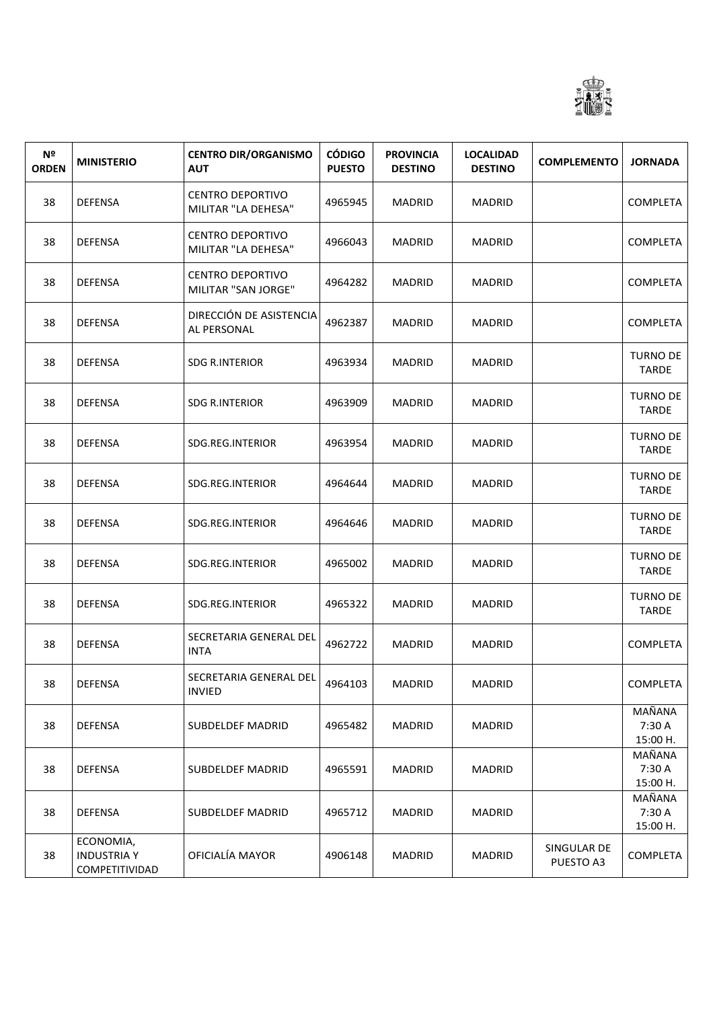

| N <sup>o</sup><br><b>ORDEN</b> | <b>MINISTERIO</b>                                 | <b>CENTRO DIR/ORGANISMO</b><br><b>AUT</b>      | <b>CÓDIGO</b><br><b>PUESTO</b> | <b>PROVINCIA</b><br><b>DESTINO</b> | <b>LOCALIDAD</b><br><b>DESTINO</b> | <b>COMPLEMENTO</b>       | <b>JORNADA</b>                  |
|--------------------------------|---------------------------------------------------|------------------------------------------------|--------------------------------|------------------------------------|------------------------------------|--------------------------|---------------------------------|
| 38                             | <b>DEFENSA</b>                                    | <b>CENTRO DEPORTIVO</b><br>MILITAR "LA DEHESA" | 4965945                        | <b>MADRID</b>                      | <b>MADRID</b>                      |                          | COMPLETA                        |
| 38                             | <b>DEFENSA</b>                                    | <b>CENTRO DEPORTIVO</b><br>MILITAR "LA DEHESA" | 4966043                        | <b>MADRID</b>                      | <b>MADRID</b>                      |                          | COMPLETA                        |
| 38                             | <b>DEFENSA</b>                                    | <b>CENTRO DEPORTIVO</b><br>MILITAR "SAN JORGE" | 4964282                        | <b>MADRID</b>                      | <b>MADRID</b>                      |                          | <b>COMPLETA</b>                 |
| 38                             | <b>DEFENSA</b>                                    | DIRECCIÓN DE ASISTENCIA<br>AL PERSONAL         | 4962387                        | <b>MADRID</b>                      | <b>MADRID</b>                      |                          | <b>COMPLETA</b>                 |
| 38                             | <b>DEFENSA</b>                                    | SDG R.INTERIOR                                 | 4963934                        | <b>MADRID</b>                      | <b>MADRID</b>                      |                          | <b>TURNO DE</b><br><b>TARDE</b> |
| 38                             | <b>DEFENSA</b>                                    | <b>SDG R.INTERIOR</b>                          | 4963909                        | <b>MADRID</b>                      | <b>MADRID</b>                      |                          | <b>TURNO DE</b><br><b>TARDE</b> |
| 38                             | <b>DEFENSA</b>                                    | SDG.REG.INTERIOR                               | 4963954                        | MADRID                             | <b>MADRID</b>                      |                          | <b>TURNO DE</b><br><b>TARDE</b> |
| 38                             | <b>DEFENSA</b>                                    | SDG.REG.INTERIOR                               | 4964644                        | <b>MADRID</b>                      | <b>MADRID</b>                      |                          | <b>TURNO DE</b><br><b>TARDE</b> |
| 38                             | <b>DEFENSA</b>                                    | SDG.REG.INTERIOR                               | 4964646                        | <b>MADRID</b>                      | <b>MADRID</b>                      |                          | <b>TURNO DE</b><br><b>TARDE</b> |
| 38                             | <b>DEFENSA</b>                                    | SDG.REG.INTERIOR                               | 4965002                        | MADRID                             | <b>MADRID</b>                      |                          | <b>TURNO DE</b><br><b>TARDE</b> |
| 38                             | <b>DEFENSA</b>                                    | SDG.REG.INTERIOR                               | 4965322                        | <b>MADRID</b>                      | <b>MADRID</b>                      |                          | TURNO DE<br><b>TARDE</b>        |
| 38                             | <b>DEFENSA</b>                                    | SECRETARIA GENERAL DEL<br><b>INTA</b>          | 4962722                        | <b>MADRID</b>                      | <b>MADRID</b>                      |                          | <b>COMPLETA</b>                 |
| 38                             | <b>DEFENSA</b>                                    | SECRETARIA GENERAL DEL<br><b>INVIED</b>        | 4964103                        | <b>MADRID</b>                      | <b>MADRID</b>                      |                          | COMPLETA                        |
| 38                             | <b>DEFENSA</b>                                    | SUBDELDEF MADRID                               | 4965482                        | <b>MADRID</b>                      | <b>MADRID</b>                      |                          | MAÑANA<br>7:30 A<br>15:00 H.    |
| 38                             | <b>DEFENSA</b>                                    | SUBDELDEF MADRID                               | 4965591                        | <b>MADRID</b>                      | <b>MADRID</b>                      |                          | MAÑANA<br>7:30 A<br>15:00 H.    |
| 38                             | <b>DEFENSA</b>                                    | <b>SUBDELDEF MADRID</b>                        | 4965712                        | <b>MADRID</b>                      | <b>MADRID</b>                      |                          | MAÑANA<br>7:30 A<br>15:00 H.    |
| 38                             | ECONOMIA,<br><b>INDUSTRIA Y</b><br>COMPETITIVIDAD | OFICIALÍA MAYOR                                | 4906148                        | <b>MADRID</b>                      | MADRID                             | SINGULAR DE<br>PUESTO A3 | <b>COMPLETA</b>                 |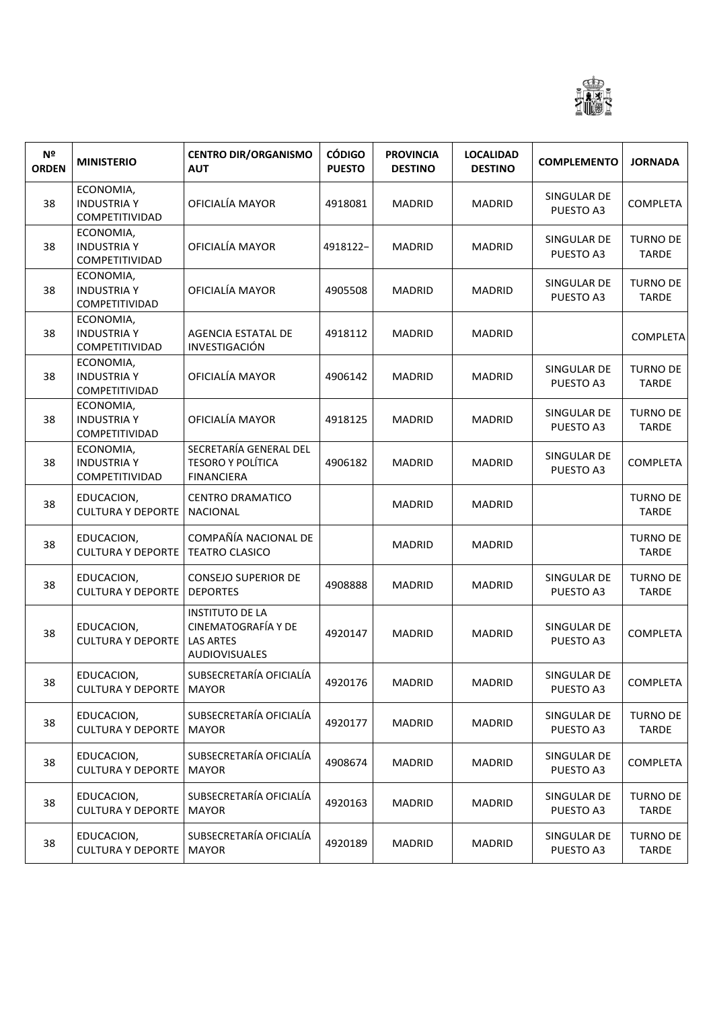

| Nº<br><b>ORDEN</b> | <b>MINISTERIO</b>                                 | <b>CENTRO DIR/ORGANISMO</b><br><b>AUT</b>                                                 | <b>CÓDIGO</b><br><b>PUESTO</b> | <b>PROVINCIA</b><br><b>DESTINO</b> | <b>LOCALIDAD</b><br><b>DESTINO</b> | <b>COMPLEMENTO</b>       | <b>JORNADA</b>                  |
|--------------------|---------------------------------------------------|-------------------------------------------------------------------------------------------|--------------------------------|------------------------------------|------------------------------------|--------------------------|---------------------------------|
| 38                 | ECONOMIA,<br><b>INDUSTRIA Y</b><br>COMPETITIVIDAD | OFICIALÍA MAYOR                                                                           | 4918081                        | <b>MADRID</b>                      | <b>MADRID</b>                      | SINGULAR DE<br>PUESTO A3 | <b>COMPLETA</b>                 |
| 38                 | ECONOMIA,<br><b>INDUSTRIA Y</b><br>COMPETITIVIDAD | OFICIALÍA MAYOR                                                                           | 4918122-                       | <b>MADRID</b>                      | <b>MADRID</b>                      | SINGULAR DE<br>PUESTO A3 | TURNO DE<br><b>TARDE</b>        |
| 38                 | ECONOMIA,<br><b>INDUSTRIA Y</b><br>COMPETITIVIDAD | OFICIALÍA MAYOR                                                                           | 4905508                        | <b>MADRID</b>                      | <b>MADRID</b>                      | SINGULAR DE<br>PUESTO A3 | TURNO DE<br><b>TARDE</b>        |
| 38                 | ECONOMIA,<br><b>INDUSTRIA Y</b><br>COMPETITIVIDAD | AGENCIA ESTATAL DE<br>INVESTIGACIÓN                                                       | 4918112                        | <b>MADRID</b>                      | <b>MADRID</b>                      |                          | <b>COMPLETA</b>                 |
| 38                 | ECONOMIA,<br><b>INDUSTRIA Y</b><br>COMPETITIVIDAD | OFICIALÍA MAYOR                                                                           | 4906142                        | <b>MADRID</b>                      | <b>MADRID</b>                      | SINGULAR DE<br>PUESTO A3 | TURNO DE<br><b>TARDE</b>        |
| 38                 | ECONOMIA,<br><b>INDUSTRIA Y</b><br>COMPETITIVIDAD | OFICIALÍA MAYOR                                                                           | 4918125                        | <b>MADRID</b>                      | <b>MADRID</b>                      | SINGULAR DE<br>PUESTO A3 | TURNO DE<br><b>TARDE</b>        |
| 38                 | ECONOMIA,<br><b>INDUSTRIA Y</b><br>COMPETITIVIDAD | SECRETARÍA GENERAL DEL<br><b>TESORO Y POLÍTICA</b><br><b>FINANCIERA</b>                   | 4906182                        | <b>MADRID</b>                      | <b>MADRID</b>                      | SINGULAR DE<br>PUESTO A3 | <b>COMPLETA</b>                 |
| 38                 | EDUCACION,<br><b>CULTURA Y DEPORTE</b>            | <b>CENTRO DRAMATICO</b><br><b>NACIONAL</b>                                                |                                | <b>MADRID</b>                      | <b>MADRID</b>                      |                          | <b>TURNO DE</b><br><b>TARDE</b> |
| 38                 | EDUCACION,<br><b>CULTURA Y DEPORTE</b>            | COMPAÑÍA NACIONAL DE<br><b>TEATRO CLASICO</b>                                             |                                | <b>MADRID</b>                      | <b>MADRID</b>                      |                          | <b>TURNO DE</b><br><b>TARDE</b> |
| 38                 | EDUCACION,<br><b>CULTURA Y DEPORTE</b>            | <b>CONSEJO SUPERIOR DE</b><br><b>DEPORTES</b>                                             | 4908888                        | MADRID                             | <b>MADRID</b>                      | SINGULAR DE<br>PUESTO A3 | TURNO DE<br><b>TARDE</b>        |
| 38                 | EDUCACION,<br><b>CULTURA Y DEPORTE</b>            | <b>INSTITUTO DE LA</b><br>CINEMATOGRAFÍA Y DE<br><b>LAS ARTES</b><br><b>AUDIOVISUALES</b> | 4920147                        | <b>MADRID</b>                      | <b>MADRID</b>                      | SINGULAR DE<br>PUESTO A3 | <b>COMPLETA</b>                 |
| 38                 | EDUCACION,<br><b>CULTURA Y DEPORTE   MAYOR</b>    | SUBSECRETARÍA OFICIALÍA                                                                   | 4920176                        | <b>MADRID</b>                      | <b>MADRID</b>                      | SINGULAR DE<br>PUESTO A3 | <b>COMPLETA</b>                 |
| 38                 | EDUCACION,<br><b>CULTURA Y DEPORTE</b>            | SUBSECRETARÍA OFICIALÍA<br><b>MAYOR</b>                                                   | 4920177                        | <b>MADRID</b>                      | <b>MADRID</b>                      | SINGULAR DE<br>PUESTO A3 | <b>TURNO DE</b><br>TARDE        |
| 38                 | EDUCACION,<br><b>CULTURA Y DEPORTE</b>            | SUBSECRETARÍA OFICIALÍA<br><b>MAYOR</b>                                                   | 4908674                        | <b>MADRID</b>                      | <b>MADRID</b>                      | SINGULAR DE<br>PUESTO A3 | <b>COMPLETA</b>                 |
| 38                 | EDUCACION,<br><b>CULTURA Y DEPORTE</b>            | SUBSECRETARÍA OFICIALÍA<br><b>MAYOR</b>                                                   | 4920163                        | <b>MADRID</b>                      | <b>MADRID</b>                      | SINGULAR DE<br>PUESTO A3 | <b>TURNO DE</b><br>TARDE        |
| 38                 | EDUCACION,<br><b>CULTURA Y DEPORTE</b>            | SUBSECRETARÍA OFICIALÍA<br><b>MAYOR</b>                                                   | 4920189                        | <b>MADRID</b>                      | MADRID                             | SINGULAR DE<br>PUESTO A3 | TURNO DE<br>TARDE               |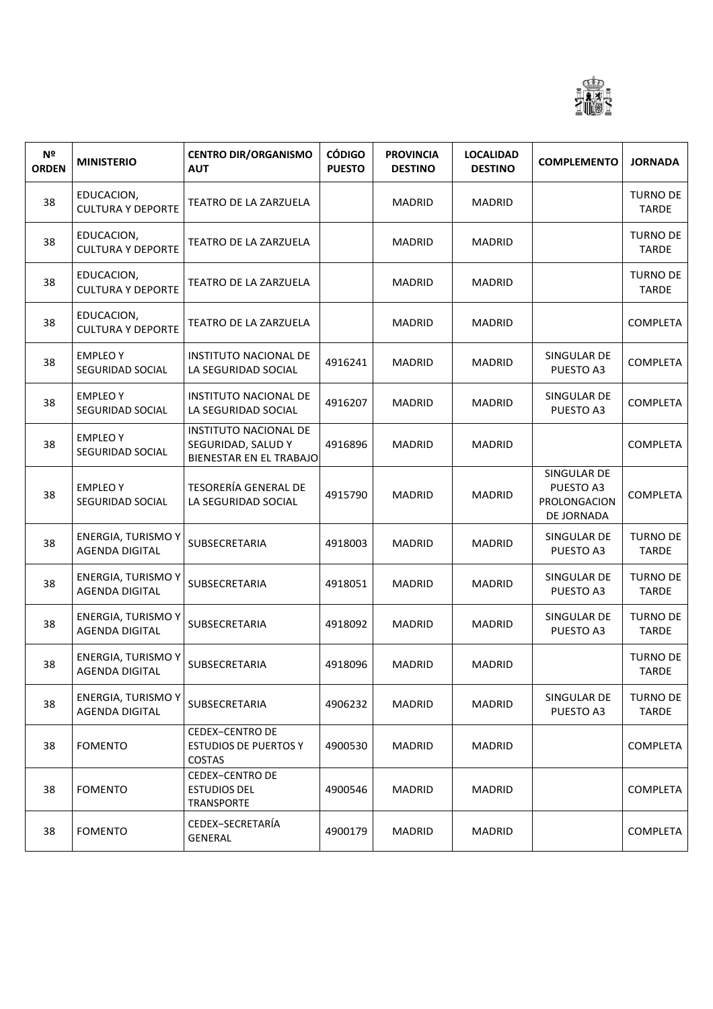

| N <sup>o</sup><br><b>ORDEN</b> | <b>MINISTERIO</b>                                  | <b>CENTRO DIR/ORGANISMO</b><br><b>AUT</b>                                     | <b>CÓDIGO</b><br><b>PUESTO</b> | <b>PROVINCIA</b><br><b>DESTINO</b> | <b>LOCALIDAD</b><br><b>DESTINO</b> | <b>COMPLEMENTO</b>                                     | <b>JORNADA</b>                  |
|--------------------------------|----------------------------------------------------|-------------------------------------------------------------------------------|--------------------------------|------------------------------------|------------------------------------|--------------------------------------------------------|---------------------------------|
| 38                             | EDUCACION,<br><b>CULTURA Y DEPORTE</b>             | TEATRO DE LA ZARZUELA                                                         |                                | <b>MADRID</b>                      | <b>MADRID</b>                      |                                                        | <b>TURNO DE</b><br>TARDE        |
| 38                             | EDUCACION,<br><b>CULTURA Y DEPORTE</b>             | TEATRO DE LA ZARZUELA                                                         |                                | <b>MADRID</b>                      | <b>MADRID</b>                      |                                                        | <b>TURNO DE</b><br><b>TARDE</b> |
| 38                             | EDUCACION,<br><b>CULTURA Y DEPORTE</b>             | TEATRO DE LA ZARZUELA                                                         |                                | <b>MADRID</b>                      | <b>MADRID</b>                      |                                                        | <b>TURNO DE</b><br><b>TARDE</b> |
| 38                             | EDUCACION,<br><b>CULTURA Y DEPORTE</b>             | TEATRO DE LA ZARZUELA                                                         |                                | <b>MADRID</b>                      | <b>MADRID</b>                      |                                                        | <b>COMPLETA</b>                 |
| 38                             | <b>EMPLEO Y</b><br>SEGURIDAD SOCIAL                | INSTITUTO NACIONAL DE<br>LA SEGURIDAD SOCIAL                                  | 4916241                        | <b>MADRID</b>                      | <b>MADRID</b>                      | SINGULAR DE<br>PUESTO A3                               | <b>COMPLETA</b>                 |
| 38                             | <b>EMPLEOY</b><br>SEGURIDAD SOCIAL                 | <b>INSTITUTO NACIONAL DE</b><br>LA SEGURIDAD SOCIAL                           | 4916207                        | <b>MADRID</b>                      | <b>MADRID</b>                      | SINGULAR DE<br>PUESTO A3                               | COMPLETA                        |
| 38                             | <b>EMPLEO Y</b><br>SEGURIDAD SOCIAL                | <b>INSTITUTO NACIONAL DE</b><br>SEGURIDAD, SALUD Y<br>BIENESTAR EN EL TRABAJO | 4916896                        | <b>MADRID</b>                      | <b>MADRID</b>                      |                                                        | COMPLETA                        |
| 38                             | <b>EMPLEOY</b><br>SEGURIDAD SOCIAL                 | <b>TESORERÍA GENERAL DE</b><br>LA SEGURIDAD SOCIAL                            | 4915790                        | <b>MADRID</b>                      | <b>MADRID</b>                      | SINGULAR DE<br>PUESTO A3<br>PROLONGACION<br>DE JORNADA | <b>COMPLETA</b>                 |
| 38                             | <b>ENERGIA, TURISMO Y</b><br><b>AGENDA DIGITAL</b> | SUBSECRETARIA                                                                 | 4918003                        | <b>MADRID</b>                      | <b>MADRID</b>                      | SINGULAR DE<br>PUESTO A3                               | <b>TURNO DE</b><br><b>TARDE</b> |
| 38                             | <b>ENERGIA, TURISMO Y</b><br><b>AGENDA DIGITAL</b> | SUBSECRETARIA                                                                 | 4918051                        | <b>MADRID</b>                      | <b>MADRID</b>                      | SINGULAR DE<br>PUESTO A3                               | <b>TURNO DE</b><br><b>TARDE</b> |
| 38                             | <b>ENERGIA, TURISMO Y</b><br><b>AGENDA DIGITAL</b> | SUBSECRETARIA                                                                 | 4918092                        | <b>MADRID</b>                      | <b>MADRID</b>                      | SINGULAR DE<br>PUESTO A3                               | <b>TURNO DE</b><br>TARDE        |
| 38                             | <b>ENERGIA, TURISMO Y</b><br>AGENDA DIGITAL        | SUBSECRETARIA                                                                 | 4918096                        | <b>MADRID</b>                      | <b>MADRID</b>                      |                                                        | <b>TURNO DE</b><br>TARDE        |
| 38                             | <b>ENERGIA, TURISMO Y</b><br><b>AGENDA DIGITAL</b> | SUBSECRETARIA                                                                 | 4906232                        | <b>MADRID</b>                      | <b>MADRID</b>                      | SINGULAR DE<br>PUESTO A3                               | <b>TURNO DE</b><br>TARDE        |
| 38                             | <b>FOMENTO</b>                                     | <b>CEDEX-CENTRO DE</b><br><b>ESTUDIOS DE PUERTOS Y</b><br><b>COSTAS</b>       | 4900530                        | <b>MADRID</b>                      | <b>MADRID</b>                      |                                                        | COMPLETA                        |
| 38                             | <b>FOMENTO</b>                                     | <b>CEDEX-CENTRO DE</b><br><b>ESTUDIOS DEL</b><br><b>TRANSPORTE</b>            | 4900546                        | <b>MADRID</b>                      | <b>MADRID</b>                      |                                                        | COMPLETA                        |
| 38                             | <b>FOMENTO</b>                                     | CEDEX-SECRETARÍA<br><b>GENERAL</b>                                            | 4900179                        | <b>MADRID</b>                      | <b>MADRID</b>                      |                                                        | COMPLETA                        |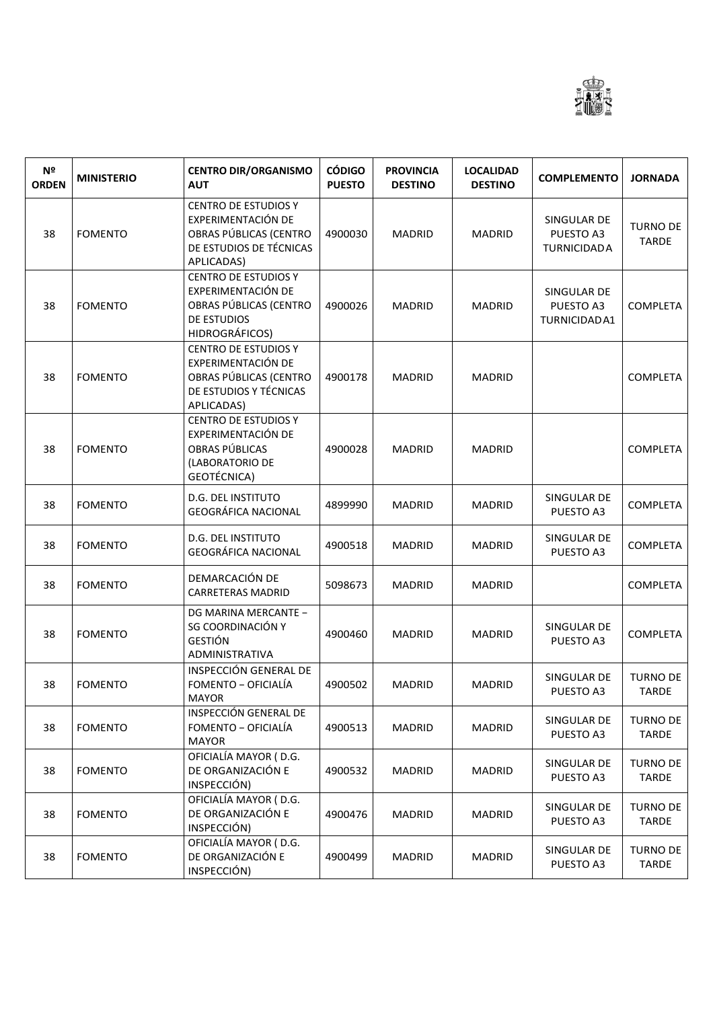

| N <sup>2</sup><br><b>ORDEN</b> | <b>MINISTERIO</b> | <b>CENTRO DIR/ORGANISMO</b><br><b>AUT</b>                                                                            | <b>CÓDIGO</b><br><b>PUESTO</b> | <b>PROVINCIA</b><br><b>DESTINO</b> | <b>LOCALIDAD</b><br><b>DESTINO</b> | <b>COMPLEMENTO</b>                             | <b>JORNADA</b>                  |
|--------------------------------|-------------------|----------------------------------------------------------------------------------------------------------------------|--------------------------------|------------------------------------|------------------------------------|------------------------------------------------|---------------------------------|
| 38                             | <b>FOMENTO</b>    | <b>CENTRO DE ESTUDIOS Y</b><br>EXPERIMENTACIÓN DE<br>OBRAS PÚBLICAS (CENTRO<br>DE ESTUDIOS DE TÉCNICAS<br>APLICADAS) | 4900030                        | <b>MADRID</b>                      | <b>MADRID</b>                      | SINGULAR DE<br>PUESTO A3<br><b>TURNICIDADA</b> | <b>TURNO DE</b><br><b>TARDE</b> |
| 38                             | <b>FOMENTO</b>    | <b>CENTRO DE ESTUDIOS Y</b><br>EXPERIMENTACIÓN DE<br>OBRAS PÚBLICAS (CENTRO<br>DE ESTUDIOS<br><b>HIDROGRÁFICOS)</b>  | 4900026                        | <b>MADRID</b>                      | <b>MADRID</b>                      | SINGULAR DE<br>PUESTO A3<br>TURNICIDAD A1      | <b>COMPLETA</b>                 |
| 38                             | <b>FOMENTO</b>    | <b>CENTRO DE ESTUDIOS Y</b><br>EXPERIMENTACIÓN DE<br>OBRAS PÚBLICAS (CENTRO<br>DE ESTUDIOS Y TÉCNICAS<br>APLICADAS)  | 4900178                        | <b>MADRID</b>                      | <b>MADRID</b>                      |                                                | <b>COMPLETA</b>                 |
| 38                             | <b>FOMENTO</b>    | <b>CENTRO DE ESTUDIOS Y</b><br>EXPERIMENTACIÓN DE<br>OBRAS PÚBLICAS<br>(LABORATORIO DE<br>GEOTÉCNICA)                | 4900028                        | <b>MADRID</b>                      | <b>MADRID</b>                      |                                                | <b>COMPLETA</b>                 |
| 38                             | <b>FOMENTO</b>    | D.G. DEL INSTITUTO<br><b>GEOGRÁFICA NACIONAL</b>                                                                     | 4899990                        | <b>MADRID</b>                      | <b>MADRID</b>                      | SINGULAR DE<br>PUESTO A3                       | <b>COMPLETA</b>                 |
| 38                             | <b>FOMENTO</b>    | D.G. DEL INSTITUTO<br><b>GEOGRÁFICA NACIONAL</b>                                                                     | 4900518                        | <b>MADRID</b>                      | <b>MADRID</b>                      | SINGULAR DE<br>PUESTO A3                       | <b>COMPLETA</b>                 |
| 38                             | <b>FOMENTO</b>    | DEMARCACIÓN DE<br><b>CARRETERAS MADRID</b>                                                                           | 5098673                        | <b>MADRID</b>                      | <b>MADRID</b>                      |                                                | <b>COMPLETA</b>                 |
| 38                             | <b>FOMENTO</b>    | DG MARINA MERCANTE -<br>SG COORDINACIÓN Y<br><b>GESTIÓN</b><br>ADMINISTRATIVA                                        | 4900460                        | <b>MADRID</b>                      | <b>MADRID</b>                      | SINGULAR DE<br>PUESTO A3                       | <b>COMPLETA</b>                 |
| 38                             | <b>FOMENTO</b>    | INSPECCIÓN GENERAL DE<br>FOMENTO - OFICIALÍA<br><b>MAYOR</b>                                                         | 4900502                        | <b>MADRID</b>                      | <b>MADRID</b>                      | SINGULAR DE<br>PUESTO A3                       | <b>TURNO DE</b><br><b>TARDE</b> |
| 38                             | <b>FOMENTO</b>    | INSPECCIÓN GENERAL DE<br>FOMENTO - OFICIALÍA<br><b>MAYOR</b>                                                         | 4900513                        | <b>MADRID</b>                      | <b>MADRID</b>                      | SINGULAR DE<br>PUESTO A3                       | <b>TURNO DE</b><br><b>TARDE</b> |
| 38                             | <b>FOMENTO</b>    | OFICIALÍA MAYOR (D.G.<br>DE ORGANIZACIÓN E<br>INSPECCIÓN)                                                            | 4900532                        | <b>MADRID</b>                      | <b>MADRID</b>                      | SINGULAR DE<br>PUESTO A3                       | <b>TURNO DE</b><br><b>TARDE</b> |
| 38                             | <b>FOMENTO</b>    | OFICIALÍA MAYOR (D.G.<br>DE ORGANIZACIÓN E<br>INSPECCIÓN)                                                            | 4900476                        | <b>MADRID</b>                      | <b>MADRID</b>                      | SINGULAR DE<br>PUESTO A3                       | <b>TURNO DE</b><br><b>TARDE</b> |
| 38                             | <b>FOMENTO</b>    | OFICIALÍA MAYOR (D.G.<br>DE ORGANIZACIÓN E<br>INSPECCIÓN)                                                            | 4900499                        | <b>MADRID</b>                      | <b>MADRID</b>                      | SINGULAR DE<br>PUESTO A3                       | <b>TURNO DE</b><br><b>TARDE</b> |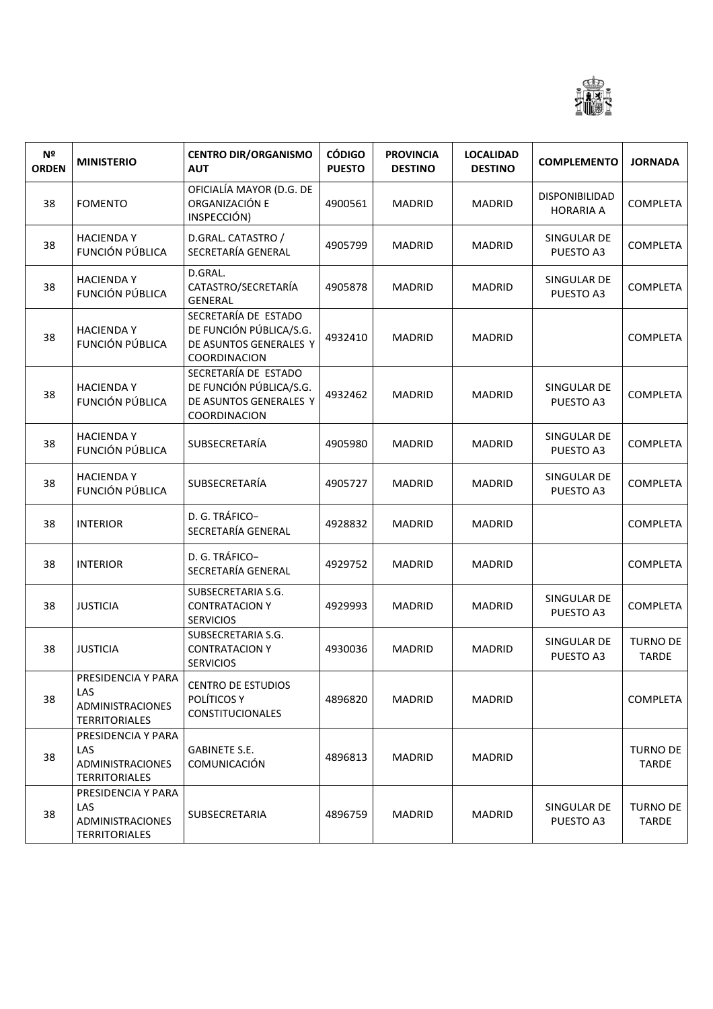

| N <sup>o</sup><br><b>ORDEN</b> | <b>MINISTERIO</b>                                                            | <b>CENTRO DIR/ORGANISMO</b><br><b>AUT</b>                                                        | <b>CÓDIGO</b><br><b>PUESTO</b> | <b>PROVINCIA</b><br><b>DESTINO</b> | <b>LOCALIDAD</b><br><b>DESTINO</b> | <b>COMPLEMENTO</b>                 | <b>JORNADA</b>                  |
|--------------------------------|------------------------------------------------------------------------------|--------------------------------------------------------------------------------------------------|--------------------------------|------------------------------------|------------------------------------|------------------------------------|---------------------------------|
| 38                             | <b>FOMENTO</b>                                                               | OFICIALÍA MAYOR (D.G. DE<br>ORGANIZACIÓN E<br>INSPECCIÓN)                                        | 4900561                        | MADRID                             | <b>MADRID</b>                      | DISPONIBILIDAD<br><b>HORARIA A</b> | <b>COMPLETA</b>                 |
| 38                             | <b>HACIENDAY</b><br>FUNCIÓN PÚBLICA                                          | D.GRAL. CATASTRO /<br>SECRETARÍA GENERAL                                                         | 4905799                        | <b>MADRID</b>                      | <b>MADRID</b>                      | SINGULAR DE<br>PUESTO A3           | <b>COMPLETA</b>                 |
| 38                             | <b>HACIENDAY</b><br><b>FUNCIÓN PÚBLICA</b>                                   | D.GRAL.<br>CATASTRO/SECRETARÍA<br><b>GENERAL</b>                                                 | 4905878                        | <b>MADRID</b>                      | <b>MADRID</b>                      | SINGULAR DE<br>PUESTO A3           | <b>COMPLETA</b>                 |
| 38                             | <b>HACIENDAY</b><br>FUNCIÓN PÚBLICA                                          | SECRETARÍA DE ESTADO<br>DE FUNCIÓN PÚBLICA/S.G.<br>DE ASUNTOS GENERALES Y<br>COORDINACION        | 4932410                        | <b>MADRID</b>                      | <b>MADRID</b>                      |                                    | <b>COMPLETA</b>                 |
| 38                             | <b>HACIENDAY</b><br>FUNCIÓN PÚBLICA                                          | SECRETARÍA DE ESTADO<br>DE FUNCIÓN PÚBLICA/S.G.<br>DE ASUNTOS GENERALES Y<br><b>COORDINACION</b> | 4932462                        | <b>MADRID</b>                      | <b>MADRID</b>                      | SINGULAR DE<br>PUESTO A3           | <b>COMPLETA</b>                 |
| 38                             | <b>HACIENDAY</b><br>FUNCIÓN PÚBLICA                                          | SUBSECRETARÍA                                                                                    | 4905980                        | <b>MADRID</b>                      | <b>MADRID</b>                      | SINGULAR DE<br>PUESTO A3           | <b>COMPLETA</b>                 |
| 38                             | <b>HACIENDAY</b><br>FUNCIÓN PÚBLICA                                          | SUBSECRETARÍA                                                                                    | 4905727                        | <b>MADRID</b>                      | <b>MADRID</b>                      | SINGULAR DE<br>PUESTO A3           | COMPLETA                        |
| 38                             | <b>INTERIOR</b>                                                              | D. G. TRÁFICO-<br>SECRETARÍA GENERAL                                                             | 4928832                        | <b>MADRID</b>                      | <b>MADRID</b>                      |                                    | <b>COMPLETA</b>                 |
| 38                             | <b>INTERIOR</b>                                                              | D. G. TRÁFICO-<br>SECRETARÍA GENERAL                                                             | 4929752                        | <b>MADRID</b>                      | <b>MADRID</b>                      |                                    | COMPLETA                        |
| 38                             | <b>JUSTICIA</b>                                                              | SUBSECRETARIA S.G.<br><b>CONTRATACION Y</b><br><b>SERVICIOS</b>                                  | 4929993                        | MADRID                             | <b>MADRID</b>                      | SINGULAR DE<br>PUESTO A3           | COMPLETA                        |
| 38                             | <b>JUSTICIA</b>                                                              | SUBSECRETARIA S.G.<br><b>CONTRATACION Y</b><br><b>SERVICIOS</b>                                  | 4930036                        | <b>MADRID</b>                      | <b>MADRID</b>                      | SINGULAR DE<br>PUESTO A3           | <b>TURNO DE</b><br><b>TARDE</b> |
| 38                             | PRESIDENCIA Y PARA<br>LAS<br><b>ADMINISTRACIONES</b><br><b>TERRITORIALES</b> | <b>CENTRO DE ESTUDIOS</b><br>POLÍTICOS Y<br><b>CONSTITUCIONALES</b>                              | 4896820                        | MADRID                             | <b>MADRID</b>                      |                                    | <b>COMPLETA</b>                 |
| 38                             | PRESIDENCIA Y PARA<br>LAS<br><b>ADMINISTRACIONES</b><br><b>TERRITORIALES</b> | <b>GABINETE S.E.</b><br>COMUNICACIÓN                                                             | 4896813                        | MADRID                             | <b>MADRID</b>                      |                                    | <b>TURNO DE</b><br>TARDE        |
| 38                             | PRESIDENCIA Y PARA<br>LAS<br><b>ADMINISTRACIONES</b><br><b>TERRITORIALES</b> | SUBSECRETARIA                                                                                    | 4896759                        | MADRID                             | <b>MADRID</b>                      | SINGULAR DE<br>PUESTO A3           | <b>TURNO DE</b><br>TARDE        |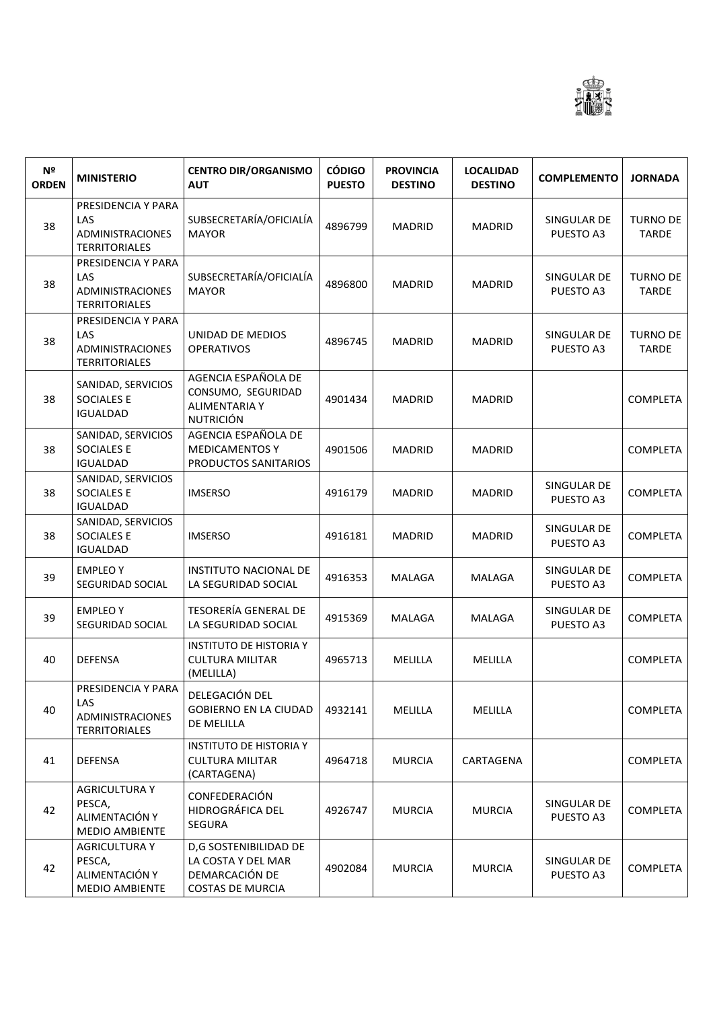

| N <sup>o</sup><br><b>ORDEN</b> | <b>MINISTERIO</b>                                                            | <b>CENTRO DIR/ORGANISMO</b><br><b>AUT</b>                                                | <b>CÓDIGO</b><br><b>PUESTO</b> | <b>PROVINCIA</b><br><b>DESTINO</b> | <b>LOCALIDAD</b><br><b>DESTINO</b> | <b>COMPLEMENTO</b>       | <b>JORNADA</b>                  |
|--------------------------------|------------------------------------------------------------------------------|------------------------------------------------------------------------------------------|--------------------------------|------------------------------------|------------------------------------|--------------------------|---------------------------------|
| 38                             | PRESIDENCIA Y PARA<br>LAS<br><b>ADMINISTRACIONES</b><br><b>TERRITORIALES</b> | SUBSECRETARÍA/OFICIALÍA<br><b>MAYOR</b>                                                  | 4896799                        | <b>MADRID</b>                      | <b>MADRID</b>                      | SINGULAR DE<br>PUESTO A3 | <b>TURNO DE</b><br><b>TARDE</b> |
| 38                             | PRESIDENCIA Y PARA<br>LAS<br>ADMINISTRACIONES<br><b>TERRITORIALES</b>        | SUBSECRETARÍA/OFICIALÍA<br><b>MAYOR</b>                                                  | 4896800                        | <b>MADRID</b>                      | <b>MADRID</b>                      | SINGULAR DE<br>PUESTO A3 | <b>TURNO DE</b><br><b>TARDE</b> |
| 38                             | PRESIDENCIA Y PARA<br>LAS<br>ADMINISTRACIONES<br><b>TERRITORIALES</b>        | UNIDAD DE MEDIOS<br><b>OPERATIVOS</b>                                                    | 4896745                        | <b>MADRID</b>                      | <b>MADRID</b>                      | SINGULAR DE<br>PUESTO A3 | <b>TURNO DE</b><br><b>TARDE</b> |
| 38                             | SANIDAD, SERVICIOS<br><b>SOCIALES E</b><br><b>IGUALDAD</b>                   | AGENCIA ESPAÑOLA DE<br>CONSUMO, SEGURIDAD<br><b>ALIMENTARIA Y</b><br><b>NUTRICIÓN</b>    | 4901434                        | <b>MADRID</b>                      | <b>MADRID</b>                      |                          | <b>COMPLETA</b>                 |
| 38                             | SANIDAD, SERVICIOS<br><b>SOCIALES E</b><br><b>IGUALDAD</b>                   | AGENCIA ESPAÑOLA DE<br><b>MEDICAMENTOS Y</b><br>PRODUCTOS SANITARIOS                     | 4901506                        | <b>MADRID</b>                      | <b>MADRID</b>                      |                          | <b>COMPLETA</b>                 |
| 38                             | SANIDAD, SERVICIOS<br><b>SOCIALES E</b><br><b>IGUALDAD</b>                   | <b>IMSERSO</b>                                                                           | 4916179                        | <b>MADRID</b>                      | <b>MADRID</b>                      | SINGULAR DE<br>PUESTO A3 | <b>COMPLETA</b>                 |
| 38                             | SANIDAD, SERVICIOS<br><b>SOCIALES E</b><br><b>IGUALDAD</b>                   | <b>IMSERSO</b>                                                                           | 4916181                        | <b>MADRID</b>                      | <b>MADRID</b>                      | SINGULAR DE<br>PUESTO A3 | <b>COMPLETA</b>                 |
| 39                             | <b>EMPLEOY</b><br>SEGURIDAD SOCIAL                                           | <b>INSTITUTO NACIONAL DE</b><br>LA SEGURIDAD SOCIAL                                      | 4916353                        | MALAGA                             | MALAGA                             | SINGULAR DE<br>PUESTO A3 | <b>COMPLETA</b>                 |
| 39                             | <b>EMPLEOY</b><br>SEGURIDAD SOCIAL                                           | <b>TESORERÍA GENERAL DE</b><br>LA SEGURIDAD SOCIAL                                       | 4915369                        | MALAGA                             | MALAGA                             | SINGULAR DE<br>PUESTO A3 | <b>COMPLETA</b>                 |
| 40                             | <b>DEFENSA</b>                                                               | INSTITUTO DE HISTORIA Y<br><b>CULTURA MILITAR</b><br>(MELILLA)                           | 4965713                        | MELILLA                            | MELILLA                            |                          | <b>COMPLETA</b>                 |
| 40                             | PRESIDENCIA Y PARA<br>LAS<br>ADMINISTRACIONES<br><b>TERRITORIALES</b>        | DELEGACIÓN DEL<br><b>GOBIERNO EN LA CIUDAD</b><br>DE MELILLA                             | 4932141                        | MELILLA                            | MELILLA                            |                          | <b>COMPLETA</b>                 |
| 41                             | <b>DEFENSA</b>                                                               | <b>INSTITUTO DE HISTORIA Y</b><br><b>CULTURA MILITAR</b><br>(CARTAGENA)                  | 4964718                        | <b>MURCIA</b>                      | CARTAGENA                          |                          | <b>COMPLETA</b>                 |
| 42                             | <b>AGRICULTURA Y</b><br>PESCA,<br>ALIMENTACIÓN Y<br><b>MEDIO AMBIENTE</b>    | CONFEDERACIÓN<br>HIDROGRÁFICA DEL<br><b>SEGURA</b>                                       | 4926747                        | <b>MURCIA</b>                      | <b>MURCIA</b>                      | SINGULAR DE<br>PUESTO A3 | <b>COMPLETA</b>                 |
| 42                             | <b>AGRICULTURA Y</b><br>PESCA,<br>ALIMENTACIÓN Y<br><b>MEDIO AMBIENTE</b>    | D,G SOSTENIBILIDAD DE<br>LA COSTA Y DEL MAR<br>DEMARCACIÓN DE<br><b>COSTAS DE MURCIA</b> | 4902084                        | <b>MURCIA</b>                      | <b>MURCIA</b>                      | SINGULAR DE<br>PUESTO A3 | <b>COMPLETA</b>                 |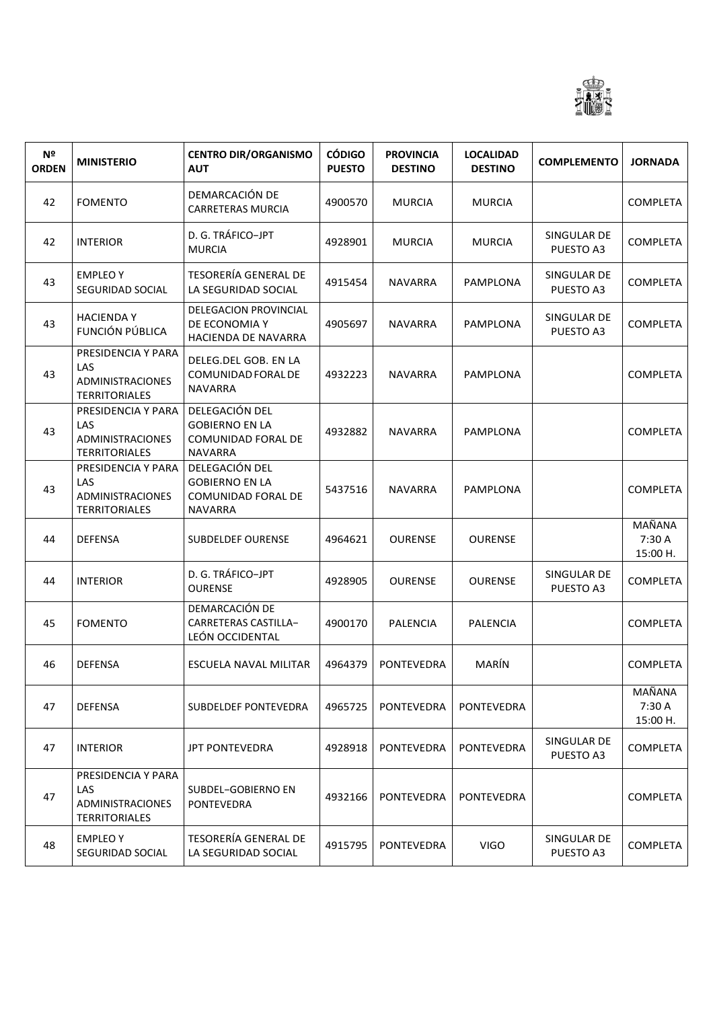

| Nº<br><b>ORDEN</b> | <b>MINISTERIO</b>                                                            | <b>CENTRO DIR/ORGANISMO</b><br><b>AUT</b>                                              | <b>CÓDIGO</b><br><b>PUESTO</b> | <b>PROVINCIA</b><br><b>DESTINO</b> | <b>LOCALIDAD</b><br><b>DESTINO</b> | <b>COMPLEMENTO</b>       | <b>JORNADA</b>               |
|--------------------|------------------------------------------------------------------------------|----------------------------------------------------------------------------------------|--------------------------------|------------------------------------|------------------------------------|--------------------------|------------------------------|
| 42                 | <b>FOMENTO</b>                                                               | DEMARCACIÓN DE<br><b>CARRETERAS MURCIA</b>                                             | 4900570                        | <b>MURCIA</b>                      | <b>MURCIA</b>                      |                          | <b>COMPLETA</b>              |
| 42                 | <b>INTERIOR</b>                                                              | D. G. TRÁFICO-JPT<br><b>MURCIA</b>                                                     | 4928901                        | MURCIA                             | <b>MURCIA</b>                      | SINGULAR DE<br>PUESTO A3 | <b>COMPLETA</b>              |
| 43                 | <b>EMPLEOY</b><br>SEGURIDAD SOCIAL                                           | <b>TESORERÍA GENERAL DE</b><br>LA SEGURIDAD SOCIAL                                     | 4915454                        | <b>NAVARRA</b>                     | PAMPLONA                           | SINGULAR DE<br>PUESTO A3 | <b>COMPLETA</b>              |
| 43                 | <b>HACIENDA Y</b><br>FUNCIÓN PÚBLICA                                         | DELEGACION PROVINCIAL<br>DE ECONOMIA Y<br>HACIENDA DE NAVARRA                          | 4905697                        | <b>NAVARRA</b>                     | PAMPLONA                           | SINGULAR DE<br>PUESTO A3 | <b>COMPLETA</b>              |
| 43                 | PRESIDENCIA Y PARA<br><b>LAS</b><br>ADMINISTRACIONES<br><b>TERRITORIALES</b> | DELEG.DEL GOB. EN LA<br>COMUNIDAD FORAL DE<br><b>NAVARRA</b>                           | 4932223                        | <b>NAVARRA</b>                     | PAMPLONA                           |                          | <b>COMPLETA</b>              |
| 43                 | PRESIDENCIA Y PARA<br>LAS<br>ADMINISTRACIONES<br><b>TERRITORIALES</b>        | DELEGACIÓN DEL<br><b>GOBIERNO EN LA</b><br><b>COMUNIDAD FORAL DE</b><br><b>NAVARRA</b> | 4932882                        | <b>NAVARRA</b>                     | PAMPLONA                           |                          | <b>COMPLETA</b>              |
| 43                 | PRESIDENCIA Y PARA<br><b>LAS</b><br>ADMINISTRACIONES<br><b>TERRITORIALES</b> | DELEGACIÓN DEL<br><b>GOBIERNO EN LA</b><br>COMUNIDAD FORAL DE<br><b>NAVARRA</b>        | 5437516                        | <b>NAVARRA</b>                     | PAMPLONA                           |                          | <b>COMPLETA</b>              |
| 44                 | <b>DEFENSA</b>                                                               | <b>SUBDELDEF OURENSE</b>                                                               | 4964621                        | <b>OURENSE</b>                     | <b>OURENSE</b>                     |                          | MAÑANA<br>7:30 A<br>15:00 H. |
| 44                 | <b>INTERIOR</b>                                                              | D. G. TRÁFICO-JPT<br><b>OURENSE</b>                                                    | 4928905                        | <b>OURENSE</b>                     | <b>OURENSE</b>                     | SINGULAR DE<br>PUESTO A3 | <b>COMPLETA</b>              |
| 45                 | <b>FOMENTO</b>                                                               | DEMARCACIÓN DE<br>CARRETERAS CASTILLA-<br>LEÓN OCCIDENTAL                              | 4900170                        | <b>PALENCIA</b>                    | <b>PALENCIA</b>                    |                          | <b>COMPLETA</b>              |
| 46                 | DEFENSA                                                                      | ESCUELA NAVAL MILITAR                                                                  | 4964379                        | PONTEVEDRA                         | MARÍN                              |                          | COMPLETA                     |
| 47                 | DEFENSA                                                                      | SUBDELDEF PONTEVEDRA                                                                   | 4965725                        | <b>PONTEVEDRA</b>                  | <b>PONTEVEDRA</b>                  |                          | MAÑANA<br>7:30 A<br>15:00 H. |
| 47                 | <b>INTERIOR</b>                                                              | <b>JPT PONTEVEDRA</b>                                                                  | 4928918                        | <b>PONTEVEDRA</b>                  | <b>PONTEVEDRA</b>                  | SINGULAR DE<br>PUESTO A3 | <b>COMPLETA</b>              |
| 47                 | PRESIDENCIA Y PARA<br><b>LAS</b><br>ADMINISTRACIONES<br><b>TERRITORIALES</b> | SUBDEL-GOBIERNO EN<br>PONTEVEDRA                                                       | 4932166                        | <b>PONTEVEDRA</b>                  | PONTEVEDRA                         |                          | <b>COMPLETA</b>              |
| 48                 | <b>EMPLEOY</b><br>SEGURIDAD SOCIAL                                           | TESORERÍA GENERAL DE<br>LA SEGURIDAD SOCIAL                                            | 4915795                        | PONTEVEDRA                         | <b>VIGO</b>                        | SINGULAR DE<br>PUESTO A3 | <b>COMPLETA</b>              |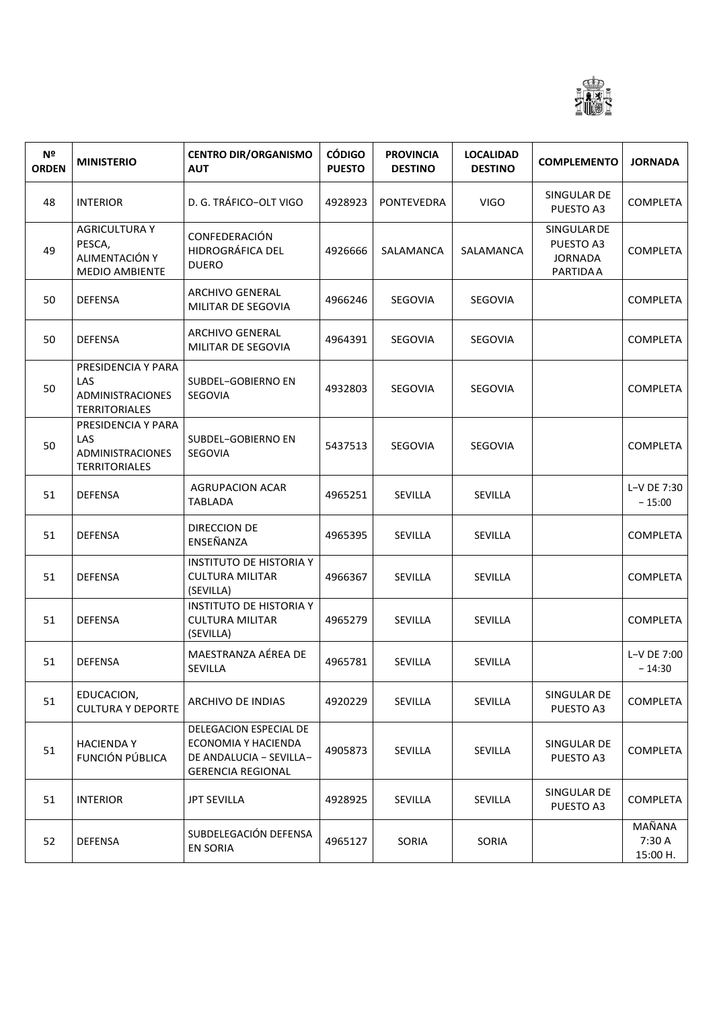

| N <sup>o</sup><br><b>ORDEN</b> | <b>MINISTERIO</b>                                                                   | <b>CENTRO DIR/ORGANISMO</b><br><b>AUT</b>                                                            | <b>CÓDIGO</b><br><b>PUESTO</b> | <b>PROVINCIA</b><br><b>DESTINO</b> | <b>LOCALIDAD</b><br><b>DESTINO</b> | <b>COMPLEMENTO</b>                                            | <b>JORNADA</b>               |
|--------------------------------|-------------------------------------------------------------------------------------|------------------------------------------------------------------------------------------------------|--------------------------------|------------------------------------|------------------------------------|---------------------------------------------------------------|------------------------------|
| 48                             | <b>INTERIOR</b>                                                                     | D. G. TRÁFICO-OLT VIGO                                                                               | 4928923                        | <b>PONTEVEDRA</b>                  | <b>VIGO</b>                        | SINGULAR DE<br>PUESTO A3                                      | <b>COMPLETA</b>              |
| 49                             | <b>AGRICULTURA Y</b><br>PESCA,<br>ALIMENTACIÓN Y<br><b>MEDIO AMBIENTE</b>           | CONFEDERACIÓN<br>HIDROGRÁFICA DEL<br><b>DUERO</b>                                                    | 4926666                        | SALAMANCA                          | SALAMANCA                          | SINGULAR DE<br>PUESTO A3<br><b>JORNADA</b><br><b>PARTIDAA</b> | <b>COMPLETA</b>              |
| 50                             | <b>DEFENSA</b>                                                                      | ARCHIVO GENERAL<br>MILITAR DE SEGOVIA                                                                | 4966246                        | SEGOVIA                            | SEGOVIA                            |                                                               | <b>COMPLETA</b>              |
| 50                             | <b>DEFENSA</b>                                                                      | ARCHIVO GENERAL<br>MILITAR DE SEGOVIA                                                                | 4964391                        | SEGOVIA                            | SEGOVIA                            |                                                               | <b>COMPLETA</b>              |
| 50                             | PRESIDENCIA Y PARA<br><b>LAS</b><br><b>ADMINISTRACIONES</b><br><b>TERRITORIALES</b> | SUBDEL-GOBIERNO EN<br>SEGOVIA                                                                        | 4932803                        | <b>SEGOVIA</b>                     | <b>SEGOVIA</b>                     |                                                               | <b>COMPLETA</b>              |
| 50                             | PRESIDENCIA Y PARA<br><b>LAS</b><br>ADMINISTRACIONES<br><b>TERRITORIALES</b>        | SUBDEL-GOBIERNO EN<br>SEGOVIA                                                                        | 5437513                        | <b>SEGOVIA</b>                     | <b>SEGOVIA</b>                     |                                                               | <b>COMPLETA</b>              |
| 51                             | <b>DEFENSA</b>                                                                      | <b>AGRUPACION ACAR</b><br><b>TABLADA</b>                                                             | 4965251                        | SEVILLA                            | <b>SEVILLA</b>                     |                                                               | L-V DE 7:30<br>$-15:00$      |
| 51                             | <b>DEFENSA</b>                                                                      | DIRECCION DE<br>ENSEÑANZA                                                                            | 4965395                        | SEVILLA                            | SEVILLA                            |                                                               | <b>COMPLETA</b>              |
| 51                             | <b>DEFENSA</b>                                                                      | <b>INSTITUTO DE HISTORIA Y</b><br><b>CULTURA MILITAR</b><br>(SEVILLA)                                | 4966367                        | <b>SEVILLA</b>                     | <b>SEVILLA</b>                     |                                                               | <b>COMPLETA</b>              |
| 51                             | <b>DEFENSA</b>                                                                      | <b>INSTITUTO DE HISTORIA Y</b><br><b>CULTURA MILITAR</b><br>(SEVILLA)                                | 4965279                        | SEVILLA                            | SEVILLA                            |                                                               | <b>COMPLETA</b>              |
| 51                             | <b>DEFENSA</b>                                                                      | MAESTRANZA AÉREA DE<br>SEVILLA                                                                       | 4965781                        | SEVILLA                            | <b>SEVILLA</b>                     |                                                               | L-V DE 7:00<br>$-14:30$      |
| 51                             | EDUCACION,<br><b>CULTURA Y DEPORTE</b>                                              | ARCHIVO DE INDIAS                                                                                    | 4920229                        | SEVILLA                            | SEVILLA                            | SINGULAR DE<br>PUESTO A3                                      | <b>COMPLETA</b>              |
| 51                             | <b>HACIENDAY</b><br>FUNCIÓN PÚBLICA                                                 | DELEGACION ESPECIAL DE<br>ECONOMIA Y HACIENDA<br>DE ANDALUCIA - SEVILLA-<br><b>GERENCIA REGIONAL</b> | 4905873                        | SEVILLA                            | SEVILLA                            | SINGULAR DE<br>PUESTO A3                                      | <b>COMPLETA</b>              |
| 51                             | <b>INTERIOR</b>                                                                     | <b>JPT SEVILLA</b>                                                                                   | 4928925                        | SEVILLA                            | SEVILLA                            | SINGULAR DE<br>PUESTO A3                                      | <b>COMPLETA</b>              |
| 52                             | <b>DEFENSA</b>                                                                      | SUBDELEGACIÓN DEFENSA<br><b>EN SORIA</b>                                                             | 4965127                        | SORIA                              | SORIA                              |                                                               | MAÑANA<br>7:30 A<br>15:00 H. |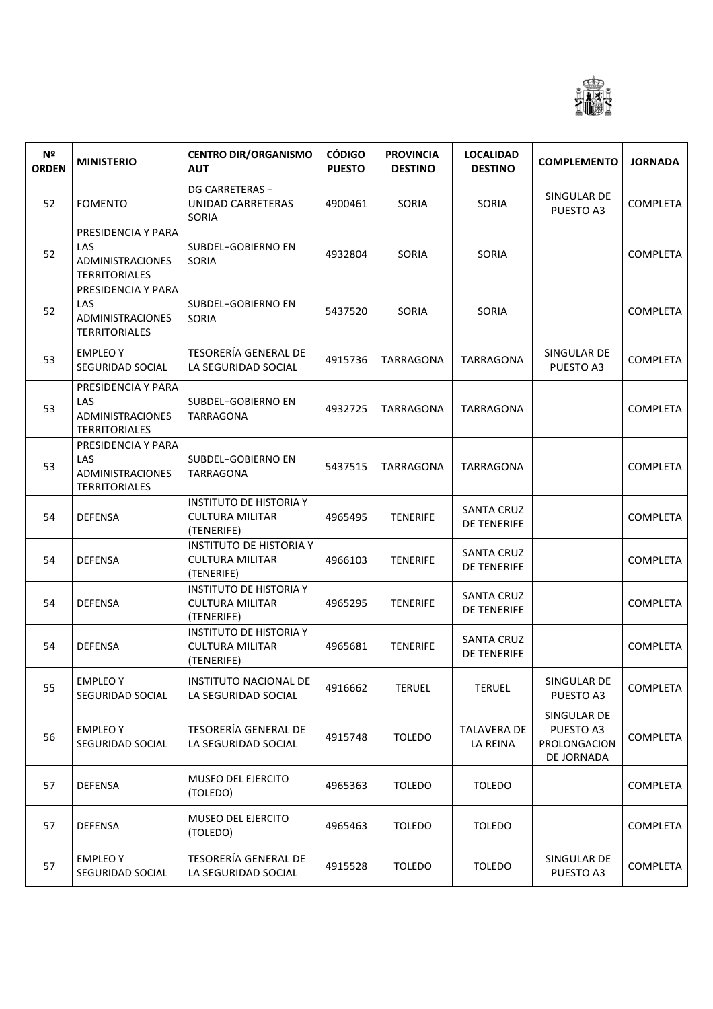

| Nº<br><b>ORDEN</b> | <b>MINISTERIO</b>                                                            | <b>CENTRO DIR/ORGANISMO</b><br><b>AUT</b>                              | <b>CÓDIGO</b><br><b>PUESTO</b> | <b>PROVINCIA</b><br><b>DESTINO</b> | <b>LOCALIDAD</b><br><b>DESTINO</b>      | <b>COMPLEMENTO</b>                                     | <b>JORNADA</b>  |
|--------------------|------------------------------------------------------------------------------|------------------------------------------------------------------------|--------------------------------|------------------------------------|-----------------------------------------|--------------------------------------------------------|-----------------|
| 52                 | <b>FOMENTO</b>                                                               | DG CARRETERAS -<br>UNIDAD CARRETERAS<br>SORIA                          | 4900461                        | SORIA                              | <b>SORIA</b>                            | SINGULAR DE<br>PUESTO A3                               | <b>COMPLETA</b> |
| 52                 | PRESIDENCIA Y PARA<br>LAS<br>ADMINISTRACIONES<br><b>TERRITORIALES</b>        | SUBDEL-GOBIERNO EN<br>SORIA                                            | 4932804                        | SORIA                              | SORIA                                   |                                                        | <b>COMPLETA</b> |
| 52                 | PRESIDENCIA Y PARA<br>LAS<br>ADMINISTRACIONES<br><b>TERRITORIALES</b>        | SUBDEL-GOBIERNO EN<br>SORIA                                            | 5437520                        | SORIA                              | SORIA                                   |                                                        | <b>COMPLETA</b> |
| 53                 | <b>EMPLEOY</b><br>SEGURIDAD SOCIAL                                           | <b>TESORERÍA GENERAL DE</b><br>LA SEGURIDAD SOCIAL                     | 4915736                        | <b>TARRAGONA</b>                   | TARRAGONA                               | SINGULAR DE<br>PUESTO A3                               | <b>COMPLETA</b> |
| 53                 | PRESIDENCIA Y PARA<br>LAS<br><b>ADMINISTRACIONES</b><br><b>TERRITORIALES</b> | SUBDEL-GOBIERNO EN<br><b>TARRAGONA</b>                                 | 4932725                        | TARRAGONA                          | TARRAGONA                               |                                                        | <b>COMPLETA</b> |
| 53                 | PRESIDENCIA Y PARA<br>LAS<br>ADMINISTRACIONES<br><b>TERRITORIALES</b>        | SUBDEL-GOBIERNO EN<br><b>TARRAGONA</b>                                 | 5437515                        | TARRAGONA                          | <b>TARRAGONA</b>                        |                                                        | <b>COMPLETA</b> |
| 54                 | <b>DEFENSA</b>                                                               | <b>INSTITUTO DE HISTORIA Y</b><br><b>CULTURA MILITAR</b><br>(TENERIFE) | 4965495                        | <b>TENERIFE</b>                    | <b>SANTA CRUZ</b><br><b>DE TENERIFE</b> |                                                        | <b>COMPLETA</b> |
| 54                 | <b>DEFENSA</b>                                                               | <b>INSTITUTO DE HISTORIA Y</b><br><b>CULTURA MILITAR</b><br>(TENERIFE) | 4966103                        | <b>TENERIFE</b>                    | <b>SANTA CRUZ</b><br><b>DE TENERIFE</b> |                                                        | <b>COMPLETA</b> |
| 54                 | <b>DEFENSA</b>                                                               | <b>INSTITUTO DE HISTORIA Y</b><br><b>CULTURA MILITAR</b><br>(TENERIFE) | 4965295                        | <b>TENERIFE</b>                    | <b>SANTA CRUZ</b><br><b>DE TENERIFE</b> |                                                        | <b>COMPLETA</b> |
| 54                 | <b>DEFENSA</b>                                                               | <b>INSTITUTO DE HISTORIA Y</b><br><b>CULTURA MILITAR</b><br>(TENERIFE) | 4965681                        | <b>TENERIFE</b>                    | <b>SANTA CRUZ</b><br><b>DE TENERIFE</b> |                                                        | <b>COMPLETA</b> |
| 55                 | EMPLEO Y<br>SEGURIDAD SOCIAL                                                 | INSTITUTO NACIONAL DE<br>LA SEGURIDAD SOCIAL                           | 4916662                        | <b>TERUEL</b>                      | <b>TERUEL</b>                           | SINGULAR DE<br>PUESTO A3                               | COMPLETA        |
| 56                 | <b>EMPLEO Y</b><br>SEGURIDAD SOCIAL                                          | TESORERÍA GENERAL DE<br>LA SEGURIDAD SOCIAL                            | 4915748                        | <b>TOLEDO</b>                      | <b>TALAVERA DE</b><br>LA REINA          | SINGULAR DE<br>PUESTO A3<br>PROLONGACION<br>DE JORNADA | <b>COMPLETA</b> |
| 57                 | <b>DEFENSA</b>                                                               | MUSEO DEL EJERCITO<br>(TOLEDO)                                         | 4965363                        | <b>TOLEDO</b>                      | <b>TOLEDO</b>                           |                                                        | <b>COMPLETA</b> |
| 57                 | DEFENSA                                                                      | MUSEO DEL EJERCITO<br>(TOLEDO)                                         | 4965463                        | <b>TOLEDO</b>                      | <b>TOLEDO</b>                           |                                                        | <b>COMPLETA</b> |
| 57                 | <b>EMPLEOY</b><br>SEGURIDAD SOCIAL                                           | <b>TESORERÍA GENERAL DE</b><br>LA SEGURIDAD SOCIAL                     | 4915528                        | <b>TOLEDO</b>                      | <b>TOLEDO</b>                           | SINGULAR DE<br>PUESTO A3                               | <b>COMPLETA</b> |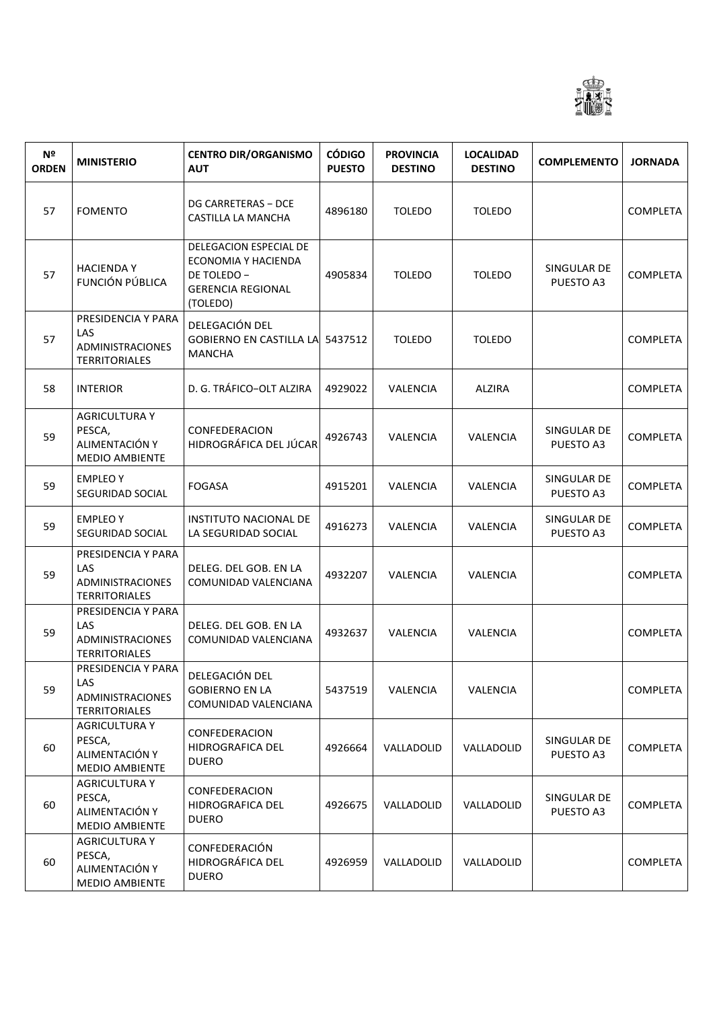

| Nº<br><b>ORDEN</b> | <b>MINISTERIO</b>                                                         | <b>CENTRO DIR/ORGANISMO</b><br><b>AUT</b>                                                            | <b>CÓDIGO</b><br><b>PUESTO</b> | <b>PROVINCIA</b><br><b>DESTINO</b> | <b>LOCALIDAD</b><br><b>DESTINO</b> | <b>COMPLEMENTO</b>       | <b>JORNADA</b>  |
|--------------------|---------------------------------------------------------------------------|------------------------------------------------------------------------------------------------------|--------------------------------|------------------------------------|------------------------------------|--------------------------|-----------------|
| 57                 | <b>FOMENTO</b>                                                            | DG CARRETERAS - DCE<br>CASTILLA LA MANCHA                                                            | 4896180                        | <b>TOLEDO</b>                      | <b>TOLEDO</b>                      |                          | <b>COMPLETA</b> |
| 57                 | <b>HACIENDAY</b><br><b>FUNCIÓN PÚBLICA</b>                                | DELEGACION ESPECIAL DE<br>ECONOMIA Y HACIENDA<br>DE TOLEDO -<br><b>GERENCIA REGIONAL</b><br>(TOLEDO) | 4905834                        | <b>TOLEDO</b>                      | <b>TOLEDO</b>                      | SINGULAR DE<br>PUESTO A3 | <b>COMPLETA</b> |
| 57                 | PRESIDENCIA Y PARA<br>LAS<br>ADMINISTRACIONES<br><b>TERRITORIALES</b>     | DELEGACIÓN DEL<br>GOBIERNO EN CASTILLA LA 5437512<br><b>MANCHA</b>                                   |                                | <b>TOLEDO</b>                      | <b>TOLEDO</b>                      |                          | <b>COMPLETA</b> |
| 58                 | <b>INTERIOR</b>                                                           | D. G. TRÁFICO-OLT ALZIRA                                                                             | 4929022                        | VALENCIA                           | <b>ALZIRA</b>                      |                          | <b>COMPLETA</b> |
| 59                 | <b>AGRICULTURA Y</b><br>PESCA,<br>ALIMENTACIÓN Y<br><b>MEDIO AMBIENTE</b> | CONFEDERACION<br>HIDROGRÁFICA DEL JÚCAR                                                              | 4926743                        | VALENCIA                           | VALENCIA                           | SINGULAR DE<br>PUESTO A3 | <b>COMPLETA</b> |
| 59                 | <b>EMPLEO Y</b><br>SEGURIDAD SOCIAL                                       | <b>FOGASA</b>                                                                                        | 4915201                        | VALENCIA                           | VALENCIA                           | SINGULAR DE<br>PUESTO A3 | <b>COMPLETA</b> |
| 59                 | <b>EMPLEOY</b><br>SEGURIDAD SOCIAL                                        | <b>INSTITUTO NACIONAL DE</b><br>LA SEGURIDAD SOCIAL                                                  | 4916273                        | VALENCIA                           | VALENCIA                           | SINGULAR DE<br>PUESTO A3 | <b>COMPLETA</b> |
| 59                 | PRESIDENCIA Y PARA<br>LAS<br>ADMINISTRACIONES<br><b>TERRITORIALES</b>     | DELEG. DEL GOB. EN LA<br>COMUNIDAD VALENCIANA                                                        | 4932207                        | VALENCIA                           | VALENCIA                           |                          | <b>COMPLETA</b> |
| 59                 | PRESIDENCIA Y PARA<br>LAS<br>ADMINISTRACIONES<br><b>TERRITORIALES</b>     | DELEG. DEL GOB. EN LA<br>COMUNIDAD VALENCIANA                                                        | 4932637                        | VALENCIA                           | VALENCIA                           |                          | <b>COMPLETA</b> |
| 59                 | PRESIDENCIA Y PARA<br><b>LAS</b><br>ADMINISTRACIONES<br>TERRITORIALES     | DELEGACIÓN DEL<br><b>GOBIERNO EN LA</b><br>COMUNIDAD VALENCIANA                                      | 5437519                        | VALENCIA                           | VALENCIA                           |                          | <b>COMPLETA</b> |
| 60                 | <b>AGRICULTURA Y</b><br>PESCA,<br>ALIMENTACIÓN Y<br><b>MEDIO AMBIENTE</b> | CONFEDERACION<br>HIDROGRAFICA DEL<br><b>DUERO</b>                                                    | 4926664                        | VALLADOLID                         | VALLADOLID                         | SINGULAR DE<br>PUESTO A3 | <b>COMPLETA</b> |
| 60                 | <b>AGRICULTURA Y</b><br>PESCA,<br>ALIMENTACIÓN Y<br><b>MEDIO AMBIENTE</b> | CONFEDERACION<br>HIDROGRAFICA DEL<br><b>DUERO</b>                                                    | 4926675                        | VALLADOLID                         | VALLADOLID                         | SINGULAR DE<br>PUESTO A3 | <b>COMPLETA</b> |
| 60                 | <b>AGRICULTURA Y</b><br>PESCA,<br>ALIMENTACIÓN Y<br>MEDIO AMBIENTE        | CONFEDERACIÓN<br>HIDROGRÁFICA DEL<br><b>DUERO</b>                                                    | 4926959                        | VALLADOLID                         | VALLADOLID                         |                          | <b>COMPLETA</b> |